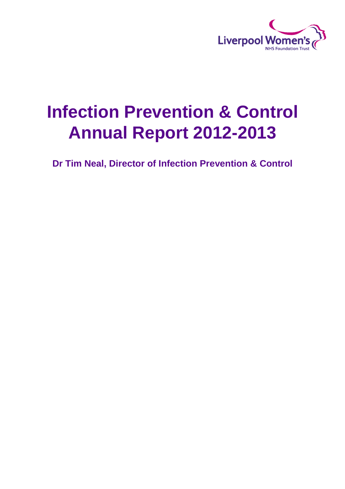

# **Infection Prevention & Control Annual Report 2012-2013**

**Dr Tim Neal, Director of Infection Prevention & Control**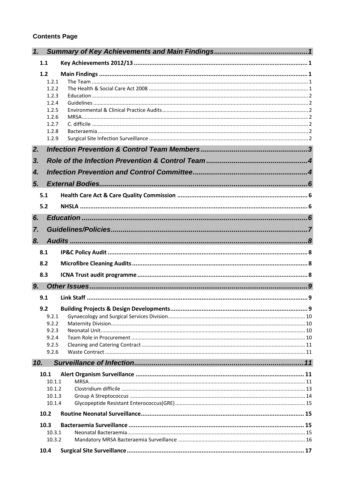#### **Contents Page**

| 1.               |                  |  |
|------------------|------------------|--|
| 1.1              |                  |  |
| 1.2              |                  |  |
|                  | 1.2.1            |  |
|                  | 1.2.2            |  |
|                  | 1.2.3<br>1.2.4   |  |
|                  | 1.2.5            |  |
|                  | 1.2.6            |  |
|                  | 1.2.7<br>1.2.8   |  |
|                  | 1.2.9            |  |
| 2.               |                  |  |
| 3 <sub>r</sub>   |                  |  |
|                  |                  |  |
| $\overline{4}$ . |                  |  |
| 5.               |                  |  |
| 5.1              |                  |  |
| 5.2              |                  |  |
| 6.               |                  |  |
| 7.               |                  |  |
| 8.               |                  |  |
| 8.1              |                  |  |
| 8.2              |                  |  |
| 8.3              |                  |  |
| 9.               |                  |  |
| 9.1              |                  |  |
|                  |                  |  |
| 9.2              |                  |  |
|                  | 9.2.1<br>9.2.2   |  |
|                  | 9.2.3            |  |
|                  | 9.2.4            |  |
|                  | 9.2.5            |  |
|                  | 9.2.6            |  |
| 10.              |                  |  |
| 10.1             |                  |  |
|                  | 10.1.1           |  |
|                  | 10.1.2           |  |
|                  | 10.1.3<br>10.1.4 |  |
| 10.2             |                  |  |
| 10.3             |                  |  |
|                  | 10.3.1           |  |
|                  | 10.3.2           |  |
| 10.4             |                  |  |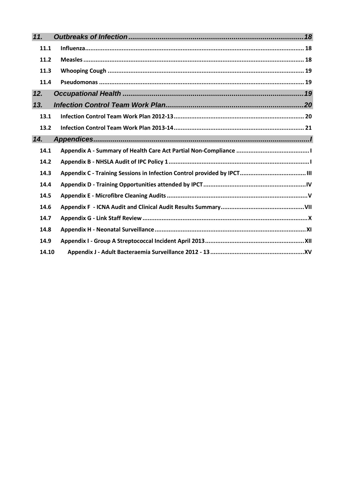| 11.   |  |
|-------|--|
| 11.1  |  |
| 11.2  |  |
| 11.3  |  |
| 11.4  |  |
| 12.   |  |
| 13.   |  |
| 13.1  |  |
| 13.2  |  |
| 14.   |  |
| 14.1  |  |
| 14.2  |  |
| 14.3  |  |
| 14.4  |  |
| 14.5  |  |
| 14.6  |  |
| 14.7  |  |
| 14.8  |  |
| 14.9  |  |
| 14.10 |  |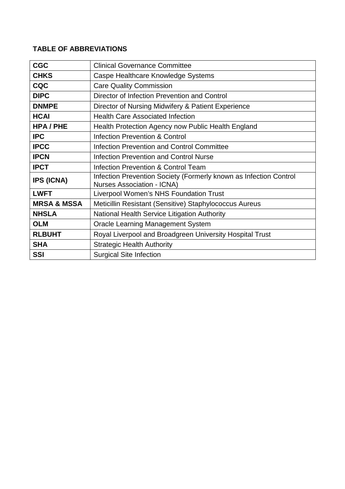## **TABLE OF ABBREVIATIONS**

| <b>CGC</b>             | <b>Clinical Governance Committee</b>                                                                   |
|------------------------|--------------------------------------------------------------------------------------------------------|
|                        |                                                                                                        |
| <b>CHKS</b>            | Caspe Healthcare Knowledge Systems                                                                     |
| <b>CQC</b>             | <b>Care Quality Commission</b>                                                                         |
| <b>DIPC</b>            | Director of Infection Prevention and Control                                                           |
| <b>DNMPE</b>           | Director of Nursing Midwifery & Patient Experience                                                     |
| <b>HCAI</b>            | <b>Health Care Associated Infection</b>                                                                |
| <b>HPA/PHE</b>         | Health Protection Agency now Public Health England                                                     |
| <b>IPC</b>             | Infection Prevention & Control                                                                         |
| <b>IPCC</b>            | <b>Infection Prevention and Control Committee</b>                                                      |
| <b>IPCN</b>            | <b>Infection Prevention and Control Nurse</b>                                                          |
| <b>IPCT</b>            | Infection Prevention & Control Team                                                                    |
| <b>IPS (ICNA)</b>      | Infection Prevention Society (Formerly known as Infection Control<br><b>Nurses Association - ICNA)</b> |
| <b>LWFT</b>            | <b>Liverpool Women's NHS Foundation Trust</b>                                                          |
| <b>MRSA &amp; MSSA</b> | Meticillin Resistant (Sensitive) Staphylococcus Aureus                                                 |
| <b>NHSLA</b>           | National Health Service Litigation Authority                                                           |
| <b>OLM</b>             | Oracle Learning Management System                                                                      |
| <b>RLBUHT</b>          | Royal Liverpool and Broadgreen University Hospital Trust                                               |
| <b>SHA</b>             | <b>Strategic Health Authority</b>                                                                      |
| <b>SSI</b>             | <b>Surgical Site Infection</b>                                                                         |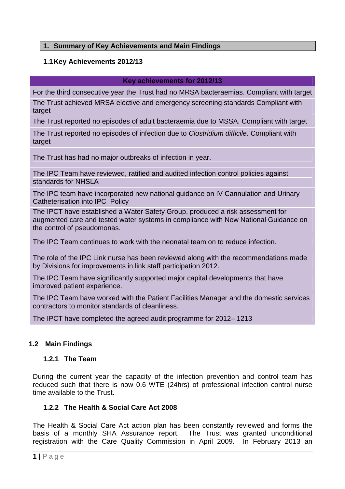#### <span id="page-4-1"></span><span id="page-4-0"></span>**1. Summary of Key Achievements and Main Findings**

#### **1.1Key Achievements 2012/13**

#### **Key achievements for 2012/13**

For the third consecutive year the Trust had no MRSA bacteraemias. Compliant with target The Trust achieved MRSA elective and emergency screening standards Compliant with target

The Trust reported no episodes of adult bacteraemia due to MSSA. Compliant with target

The Trust reported no episodes of infection due to *Clostridium difficile.* Compliant with target

The Trust has had no major outbreaks of infection in year.

The IPC Team have reviewed, ratified and audited infection control policies against standards for NHSLA

The IPC team have incorporated new national guidance on IV Cannulation and Urinary Catheterisation into IPC Policy

The IPCT have established a Water Safety Group, produced a risk assessment for augmented care and tested water systems in compliance with New National Guidance on the control of pseudomonas.

The IPC Team continues to work with the neonatal team on to reduce infection.

The role of the IPC Link nurse has been reviewed along with the recommendations made by Divisions for improvements in link staff participation 2012.

The IPC Team have significantly supported major capital developments that have improved patient experience.

The IPC Team have worked with the Patient Facilities Manager and the domestic services contractors to monitor standards of cleanliness.

<span id="page-4-2"></span>The IPCT have completed the agreed audit programme for 2012– 1213

#### **1.2 Main Findings**

#### <span id="page-4-3"></span>**1.2.1 The Team**

During the current year the capacity of the infection prevention and control team has reduced such that there is now 0.6 WTE (24hrs) of professional infection control nurse time available to the Trust.

#### <span id="page-4-4"></span>**1.2.2 The Health & Social Care Act 2008**

The Health & Social Care Act action plan has been constantly reviewed and forms the basis of a monthly SHA Assurance report. The Trust was granted unconditional registration with the Care Quality Commission in April 2009. In February 2013 an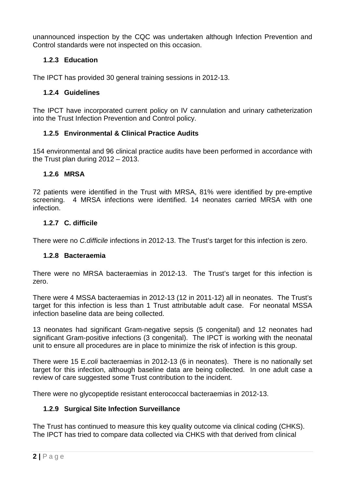unannounced inspection by the CQC was undertaken although Infection Prevention and Control standards were not inspected on this occasion.

#### <span id="page-5-0"></span>**1.2.3 Education**

The IPCT has provided 30 general training sessions in 2012-13.

#### <span id="page-5-1"></span>**1.2.4 Guidelines**

The IPCT have incorporated current policy on IV cannulation and urinary catheterization into the Trust Infection Prevention and Control policy.

#### <span id="page-5-2"></span>**1.2.5 Environmental & Clinical Practice Audits**

154 environmental and 96 clinical practice audits have been performed in accordance with the Trust plan during 2012 – 2013.

#### <span id="page-5-3"></span>**1.2.6 MRSA**

72 patients were identified in the Trust with MRSA, 81% were identified by pre-emptive screening. 4 MRSA infections were identified. 14 neonates carried MRSA with one infection.

#### <span id="page-5-4"></span>**1.2.7 C. difficile**

There were no *C.difficile* infections in 2012-13. The Trust's target for this infection is zero.

#### <span id="page-5-5"></span>**1.2.8 Bacteraemia**

There were no MRSA bacteraemias in 2012-13. The Trust's target for this infection is zero.

There were 4 MSSA bacteraemias in 2012-13 (12 in 2011-12) all in neonates. The Trust's target for this infection is less than 1 Trust attributable adult case. For neonatal MSSA infection baseline data are being collected.

13 neonates had significant Gram-negative sepsis (5 congenital) and 12 neonates had significant Gram-positive infections (3 congenital). The IPCT is working with the neonatal unit to ensure all procedures are in place to minimize the risk of infection is this group.

There were 15 E.*coli* bacteraemias in 2012-13 (6 in neonates). There is no nationally set target for this infection, although baseline data are being collected. In one adult case a review of care suggested some Trust contribution to the incident.

There were no glycopeptide resistant enterococcal bacteraemias in 2012-13.

#### <span id="page-5-6"></span>**1.2.9 Surgical Site Infection Surveillance**

The Trust has continued to measure this key quality outcome via clinical coding (CHKS). The IPCT has tried to compare data collected via CHKS with that derived from clinical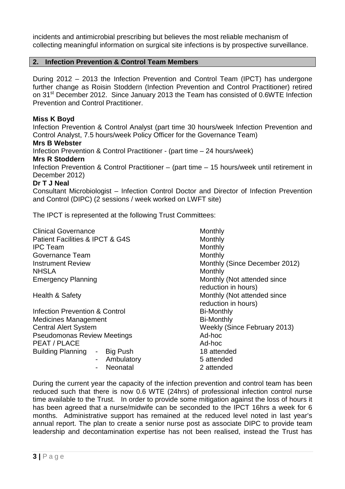incidents and antimicrobial prescribing but believes the most reliable mechanism of collecting meaningful information on surgical site infections is by prospective surveillance.

#### <span id="page-6-0"></span>**2. Infection Prevention & Control Team Members**

During 2012 – 2013 the Infection Prevention and Control Team (IPCT) has undergone further change as Roisin Stoddern (Infection Prevention and Control Practitioner) retired on 31<sup>st</sup> December 2012. Since January 2013 the Team has consisted of 0.6WTE Infection Prevention and Control Practitioner.

#### **Miss K Boyd**

Infection Prevention & Control Analyst (part time 30 hours/week Infection Prevention and Control Analyst, 7.5 hours/week Policy Officer for the Governance Team) **Mrs B Webster** Infection Prevention & Control Practitioner - (part time – 24 hours/week) **Mrs R Stoddern** Infection Prevention & Control Practitioner – (part time – 15 hours/week until retirement in December 2012)

#### **Dr T J Neal**

Consultant Microbiologist – Infection Control Doctor and Director of Infection Prevention and Control (DIPC) (2 sessions / week worked on LWFT site)

The IPCT is represented at the following Trust Committees:

| <b>Clinical Governance</b>             | Monthly                                            |
|----------------------------------------|----------------------------------------------------|
| Patient Facilities & IPCT & G4S        | Monthly                                            |
| <b>IPC Team</b>                        | Monthly                                            |
| Governance Team                        | Monthly                                            |
| <b>Instrument Review</b>               | Monthly (Since December 2012)                      |
| <b>NHSLA</b>                           | Monthly                                            |
| <b>Emergency Planning</b>              | Monthly (Not attended since<br>reduction in hours) |
| Health & Safety                        | Monthly (Not attended since<br>reduction in hours) |
| Infection Prevention & Control         | <b>Bi-Monthly</b>                                  |
| <b>Medicines Management</b>            | <b>Bi-Monthly</b>                                  |
| <b>Central Alert System</b>            | Weekly (Since February 2013)                       |
| <b>Pseudomonas Review Meetings</b>     | Ad-hoc                                             |
| PEAT / PLACE                           | Ad-hoc                                             |
| Building Planning -<br><b>Big Push</b> | 18 attended                                        |
| Ambulatory<br>$\blacksquare$           | 5 attended                                         |
| Neonatal                               | 2 attended                                         |

During the current year the capacity of the infection prevention and control team has been reduced such that there is now 0.6 WTE (24hrs) of professional infection control nurse time available to the Trust. In order to provide some mitigation against the loss of hours it has been agreed that a nurse/midwife can be seconded to the IPCT 16hrs a week for 6 months. Administrative support has remained at the reduced level noted in last year's annual report. The plan to create a senior nurse post as associate DIPC to provide team leadership and decontamination expertise has not been realised, instead the Trust has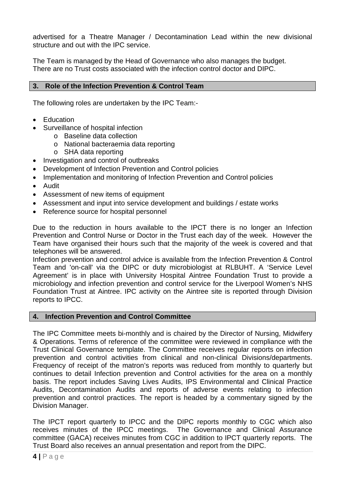advertised for a Theatre Manager / Decontamination Lead within the new divisional structure and out with the IPC service.

The Team is managed by the Head of Governance who also manages the budget. There are no Trust costs associated with the infection control doctor and DIPC.

#### <span id="page-7-0"></span>**3. Role of the Infection Prevention & Control Team**

The following roles are undertaken by the IPC Team:-

- Education
- Surveillance of hospital infection
	- o Baseline data collection
	- o National bacteraemia data reporting
	- o SHA data reporting
- Investigation and control of outbreaks
- Development of Infection Prevention and Control policies
- Implementation and monitoring of Infection Prevention and Control policies
- Audit
- Assessment of new items of equipment
- Assessment and input into service development and buildings / estate works
- Reference source for hospital personnel

Due to the reduction in hours available to the IPCT there is no longer an Infection Prevention and Control Nurse or Doctor in the Trust each day of the week. However the Team have organised their hours such that the majority of the week is covered and that telephones will be answered.

Infection prevention and control advice is available from the Infection Prevention & Control Team and 'on-call' via the DIPC or duty microbiologist at RLBUHT. A 'Service Level Agreement' is in place with University Hospital Aintree Foundation Trust to provide a microbiology and infection prevention and control service for the Liverpool Women's NHS Foundation Trust at Aintree. IPC activity on the Aintree site is reported through Division reports to IPCC.

#### <span id="page-7-1"></span>**4. Infection Prevention and Control Committee**

The IPC Committee meets bi-monthly and is chaired by the Director of Nursing, Midwifery & Operations. Terms of reference of the committee were reviewed in compliance with the Trust Clinical Governance template. The Committee receives regular reports on infection prevention and control activities from clinical and non-clinical Divisions/departments. Frequency of receipt of the matron's reports was reduced from monthly to quarterly but continues to detail Infection prevention and Control activities for the area on a monthly basis. The report includes Saving Lives Audits, IPS Environmental and Clinical Practice Audits, Decontamination Audits and reports of adverse events relating to infection prevention and control practices. The report is headed by a commentary signed by the Division Manager.

The IPCT report quarterly to IPCC and the DIPC reports monthly to CGC which also receives minutes of the IPCC meetings. The Governance and Clinical Assurance committee (GACA) receives minutes from CGC in addition to IPCT quarterly reports. The Trust Board also receives an annual presentation and report from the DIPC.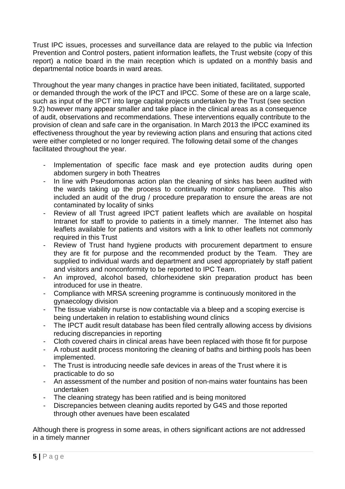Trust IPC issues, processes and surveillance data are relayed to the public via Infection Prevention and Control posters, patient information leaflets, the Trust website (copy of this report) a notice board in the main reception which is updated on a monthly basis and departmental notice boards in ward areas.

Throughout the year many changes in practice have been initiated, facilitated, supported or demanded through the work of the IPCT and IPCC. Some of these are on a large scale, such as input of the IPCT into large capital projects undertaken by the Trust (see section 9.2) however many appear smaller and take place in the clinical areas as a consequence of audit, observations and recommendations. These interventions equally contribute to the provision of clean and safe care in the organisation. In March 2013 the IPCC examined its effectiveness throughout the year by reviewing action plans and ensuring that actions cited were either completed or no longer required. The following detail some of the changes facilitated throughout the year.

- Implementation of specific face mask and eye protection audits during open abdomen surgery in both Theatres
- In line with Pseudomonas action plan the cleaning of sinks has been audited with the wards taking up the process to continually monitor compliance. This also included an audit of the drug / procedure preparation to ensure the areas are not contaminated by locality of sinks
- Review of all Trust agreed IPCT patient leaflets which are available on hospital Intranet for staff to provide to patients in a timely manner. The Internet also has leaflets available for patients and visitors with a link to other leaflets not commonly required in this Trust
- Review of Trust hand hygiene products with procurement department to ensure they are fit for purpose and the recommended product by the Team. They are supplied to individual wards and department and used appropriately by staff patient and visitors and nonconformity to be reported to IPC Team.
- An improved, alcohol based, chlorhexidene skin preparation product has been introduced for use in theatre.
- Compliance with MRSA screening programme is continuously monitored in the gynaecology division
- The tissue viability nurse is now contactable via a bleep and a scoping exercise is being undertaken in relation to establishing wound clinics
- The IPCT audit result database has been filed centrally allowing access by divisions reducing discrepancies in reporting
- Cloth covered chairs in clinical areas have been replaced with those fit for purpose
- A robust audit process monitoring the cleaning of baths and birthing pools has been implemented.
- The Trust is introducing needle safe devices in areas of the Trust where it is practicable to do so
- An assessment of the number and position of non-mains water fountains has been undertaken
- The cleaning strategy has been ratified and is being monitored
- Discrepancies between cleaning audits reported by G4S and those reported through other avenues have been escalated

Although there is progress in some areas, in others significant actions are not addressed in a timely manner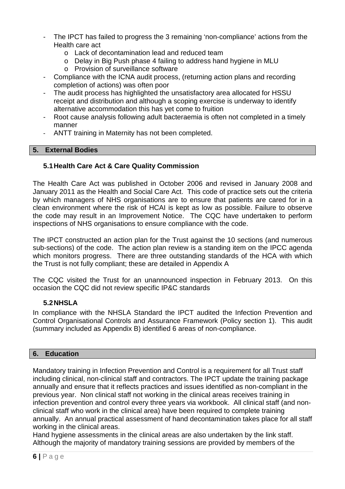- The IPCT has failed to progress the 3 remaining 'non-compliance' actions from the Health care act
	- o Lack of decontamination lead and reduced team
	- o Delay in Big Push phase 4 failing to address hand hygiene in MLU
	- o Provision of surveillance software
- Compliance with the ICNA audit process, (returning action plans and recording completion of actions) was often poor
- The audit process has highlighted the unsatisfactory area allocated for HSSU receipt and distribution and although a scoping exercise is underway to identify alternative accommodation this has yet come to fruition
- Root cause analysis following adult bacteraemia is often not completed in a timely manner
- <span id="page-9-0"></span>ANTT training in Maternity has not been completed.

#### **5. External Bodies**

#### <span id="page-9-1"></span>**5.1Health Care Act & Care Quality Commission**

The Health Care Act was published in October 2006 and revised in January 2008 and January 2011 as the Health and Social Care Act. This code of practice sets out the criteria by which managers of NHS organisations are to ensure that patients are cared for in a clean environment where the risk of HCAI is kept as low as possible. Failure to observe the code may result in an Improvement Notice. The CQC have undertaken to perform inspections of NHS organisations to ensure compliance with the code.

The IPCT constructed an action plan for the Trust against the 10 sections (and numerous sub-sections) of the code. The action plan review is a standing item on the IPCC agenda which monitors progress. There are three outstanding standards of the HCA with which the Trust is not fully compliant; these are detailed in Appendix A

The CQC visited the Trust for an unannounced inspection in February 2013. On this occasion the CQC did not review specific IP&C standards

#### <span id="page-9-2"></span>**5.2NHSLA**

In compliance with the NHSLA Standard the IPCT audited the Infection Prevention and Control Organisational Controls and Assurance Framework (Policy section 1). This audit (summary included as Appendix B) identified 6 areas of non-compliance.

#### <span id="page-9-3"></span>**6. Education**

Mandatory training in Infection Prevention and Control is a requirement for all Trust staff including clinical, non-clinical staff and contractors. The IPCT update the training package annually and ensure that it reflects practices and issues identified as non-compliant in the previous year. Non clinical staff not working in the clinical areas receives training in infection prevention and control every three years via workbook. All clinical staff (and nonclinical staff who work in the clinical area) have been required to complete training annually. An annual practical assessment of hand decontamination takes place for all staff working in the clinical areas.

Hand hygiene assessments in the clinical areas are also undertaken by the link staff. Although the majority of mandatory training sessions are provided by members of the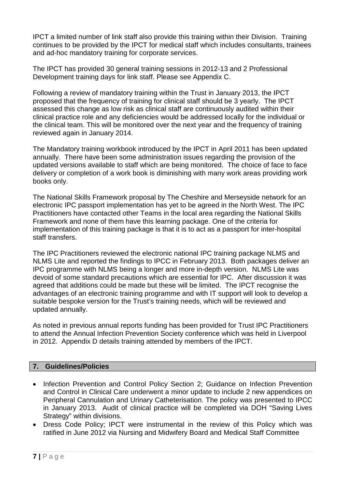IPCT a limited number of link staff also provide this training within their Division. Training continues to be provided by the IPCT for medical staff which includes consultants, trainees and ad-hoc mandatory training for corporate services.

The IPCT has provided 30 general training sessions in 2012-13 and 2 Professional Development training days for link staff. Please see Appendix C.

Following a review of mandatory training within the Trust in January 2013, the IPCT proposed that the frequency of training for clinical staff should be 3 yearly. The IPCT assessed this change as low risk as clinical staff are continuously audited within their clinical practice role and any deficiencies would be addressed locally for the individual or the clinical team. This will be monitored over the next year and the frequency of training reviewed again in January 2014.

The Mandatory training workbook introduced by the IPCT in April 2011 has been updated annually. There have been some administration issues regarding the provision of the updated versions available to staff which are being monitored. The choice of face to face delivery or completion of a work book is diminishing with many work areas providing work books only.

The National Skills Framework proposal by The Cheshire and Merseyside network for an electronic IPC passport implementation has yet to be agreed in the North West. The IPC Practitioners have contacted other Teams in the local area regarding the National Skills Framework and none of them have this learning package. One of the criteria for implementation of this training package is that it is to act as a passport for inter-hospital staff transfers.

The IPC Practitioners reviewed the electronic national IPC training package NLMS and NLMS Lite and reported the findings to IPCC in February 2013. Both packages deliver an IPC programme with NLMS being a longer and more in-depth version. NLMS Lite was devoid of some standard precautions which are essential for IPC. After discussion it was agreed that additions could be made but these will be limited. The IPCT recognise the advantages of an electronic training programme and with IT support will look to develop a suitable bespoke version for the Trust's training needs, which will be reviewed and updated annually.

As noted in previous annual reports funding has been provided for Trust IPC Practitioners to attend the Annual Infection Prevention Society conference which was held in Liverpool in 2012. Appendix D details training attended by members of the IPCT.

#### <span id="page-10-0"></span>**7. Guidelines/Policies**

- Infection Prevention and Control Policy Section 2; Guidance on Infection Prevention and Control in Clinical Care underwent a minor update to include 2 new appendices on Peripheral Cannulation and Urinary Catheterisation. The policy was presented to IPCC in January 2013. Audit of clinical practice will be completed via DOH "Saving Lives Strategy" within divisions.
- Dress Code Policy; IPCT were instrumental in the review of this Policy which was ratified in June 2012 via Nursing and Midwifery Board and Medical Staff Committee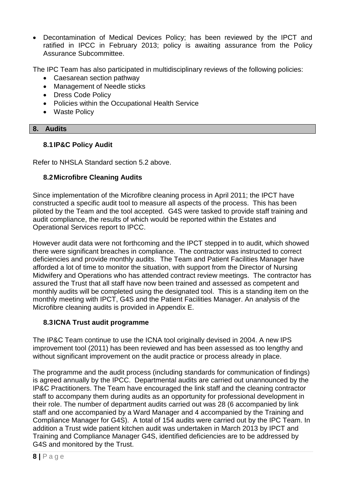Decontamination of Medical Devices Policy; has been reviewed by the IPCT and ratified in IPCC in February 2013; policy is awaiting assurance from the Policy Assurance Subcommittee.

The IPC Team has also participated in multidisciplinary reviews of the following policies:

- Caesarean section pathway
- Management of Needle sticks
- Dress Code Policy
- Policies within the Occupational Health Service
- <span id="page-11-0"></span>• Waste Policy

#### **8. Audits**

#### <span id="page-11-1"></span>**8.1IP&C Policy Audit**

Refer to NHSLA Standard section 5.2 above.

#### <span id="page-11-2"></span>**8.2Microfibre Cleaning Audits**

Since implementation of the Microfibre cleaning process in April 2011; the IPCT have constructed a specific audit tool to measure all aspects of the process. This has been piloted by the Team and the tool accepted. G4S were tasked to provide staff training and audit compliance, the results of which would be reported within the Estates and Operational Services report to IPCC.

However audit data were not forthcoming and the IPCT stepped in to audit, which showed there were significant breaches in compliance. The contractor was instructed to correct deficiencies and provide monthly audits. The Team and Patient Facilities Manager have afforded a lot of time to monitor the situation, with support from the Director of Nursing Midwifery and Operations who has attended contract review meetings. The contractor has assured the Trust that all staff have now been trained and assessed as competent and monthly audits will be completed using the designated tool. This is a standing item on the monthly meeting with IPCT, G4S and the Patient Facilities Manager. An analysis of the Microfibre cleaning audits is provided in Appendix E.

#### <span id="page-11-3"></span>**8.3ICNA Trust audit programme**

The IP&C Team continue to use the ICNA tool originally devised in 2004. A new IPS improvement tool (2011) has been reviewed and has been assessed as too lengthy and without significant improvement on the audit practice or process already in place.

The programme and the audit process (including standards for communication of findings) is agreed annually by the IPCC. Departmental audits are carried out unannounced by the IP&C Practitioners. The Team have encouraged the link staff and the cleaning contractor staff to accompany them during audits as an opportunity for professional development in their role. The number of department audits carried out was 28 (6 accompanied by link staff and one accompanied by a Ward Manager and 4 accompanied by the Training and Compliance Manager for G4S). A total of 154 audits were carried out by the IPC Team. In addition a Trust wide patient kitchen audit was undertaken in March 2013 by IPCT and Training and Compliance Manager G4S, identified deficiencies are to be addressed by G4S and monitored by the Trust.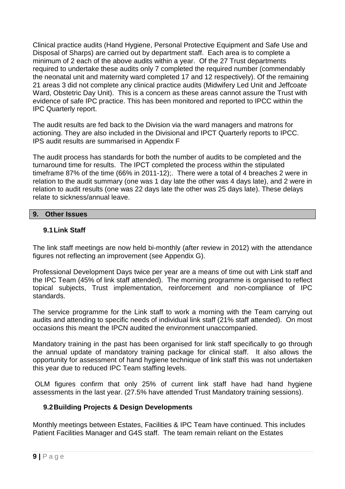Clinical practice audits (Hand Hygiene, Personal Protective Equipment and Safe Use and Disposal of Sharps) are carried out by department staff. Each area is to complete a minimum of 2 each of the above audits within a year. Of the 27 Trust departments required to undertake these audits only 7 completed the required number (commendably the neonatal unit and maternity ward completed 17 and 12 respectively). Of the remaining 21 areas 3 did not complete any clinical practice audits (Midwifery Led Unit and Jeffcoate Ward, Obstetric Day Unit). This is a concern as these areas cannot assure the Trust with evidence of safe IPC practice. This has been monitored and reported to IPCC within the IPC Quarterly report.

The audit results are fed back to the Division via the ward managers and matrons for actioning. They are also included in the Divisional and IPCT Quarterly reports to IPCC. IPS audit results are summarised in Appendix F

The audit process has standards for both the number of audits to be completed and the turnaround time for results. The IPCT completed the process within the stipulated timeframe 87% of the time (66% in 2011-12);. There were a total of 4 breaches 2 were in relation to the audit summary (one was 1 day late the other was 4 days late), and 2 were in relation to audit results (one was 22 days late the other was 25 days late). These delays relate to sickness/annual leave.

#### <span id="page-12-0"></span>**9. Other Issues**

#### <span id="page-12-1"></span>**9.1Link Staff**

The link staff meetings are now held bi-monthly (after review in 2012) with the attendance figures not reflecting an improvement (see Appendix G).

Professional Development Days twice per year are a means of time out with Link staff and the IPC Team (45% of link staff attended). The morning programme is organised to reflect topical subjects, Trust implementation, reinforcement and non-compliance of IPC standards.

The service programme for the Link staff to work a morning with the Team carrying out audits and attending to specific needs of individual link staff (21% staff attended). On most occasions this meant the IPCN audited the environment unaccompanied.

Mandatory training in the past has been organised for link staff specifically to go through the annual update of mandatory training package for clinical staff. It also allows the opportunity for assessment of hand hygiene technique of link staff this was not undertaken this year due to reduced IPC Team staffing levels.

OLM figures confirm that only 25% of current link staff have had hand hygiene assessments in the last year. (27.5% have attended Trust Mandatory training sessions).

#### <span id="page-12-2"></span>**9.2Building Projects & Design Developments**

Monthly meetings between Estates, Facilities & IPC Team have continued. This includes Patient Facilities Manager and G4S staff. The team remain reliant on the Estates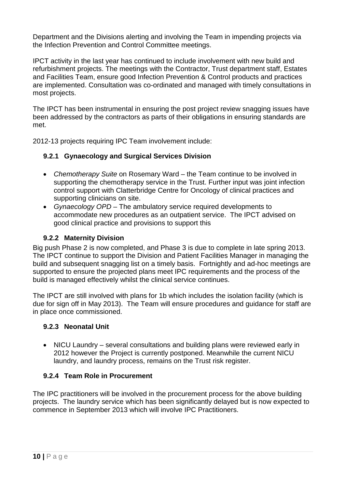Department and the Divisions alerting and involving the Team in impending projects via the Infection Prevention and Control Committee meetings.

IPCT activity in the last year has continued to include involvement with new build and refurbishment projects. The meetings with the Contractor, Trust department staff, Estates and Facilities Team, ensure good Infection Prevention & Control products and practices are implemented. Consultation was co-ordinated and managed with timely consultations in most projects.

The IPCT has been instrumental in ensuring the post project review snagging issues have been addressed by the contractors as parts of their obligations in ensuring standards are met.

2012-13 projects requiring IPC Team involvement include:

#### <span id="page-13-0"></span>**9.2.1 Gynaecology and Surgical Services Division**

- *Chemotherapy Suite* on Rosemary Ward the Team continue to be involved in supporting the chemotherapy service in the Trust. Further input was joint infection control support with Clatterbridge Centre for Oncology of clinical practices and supporting clinicians on site.
- *Gynaecology OPD* The ambulatory service required developments to accommodate new procedures as an outpatient service. The IPCT advised on good clinical practice and provisions to support this

#### <span id="page-13-1"></span>**9.2.2 Maternity Division**

Big push Phase 2 is now completed, and Phase 3 is due to complete in late spring 2013. The IPCT continue to support the Division and Patient Facilities Manager in managing the build and subsequent snagging list on a timely basis. Fortnightly and ad-hoc meetings are supported to ensure the projected plans meet IPC requirements and the process of the build is managed effectively whilst the clinical service continues.

The IPCT are still involved with plans for 1b which includes the isolation facility (which is due for sign off in May 2013). The Team will ensure procedures and guidance for staff are in place once commissioned.

#### <span id="page-13-2"></span>**9.2.3 Neonatal Unit**

• NICU Laundry – several consultations and building plans were reviewed early in 2012 however the Project is currently postponed. Meanwhile the current NICU laundry, and laundry process, remains on the Trust risk register.

#### <span id="page-13-3"></span>**9.2.4 Team Role in Procurement**

The IPC practitioners will be involved in the procurement process for the above building projects. The laundry service which has been significantly delayed but is now expected to commence in September 2013 which will involve IPC Practitioners.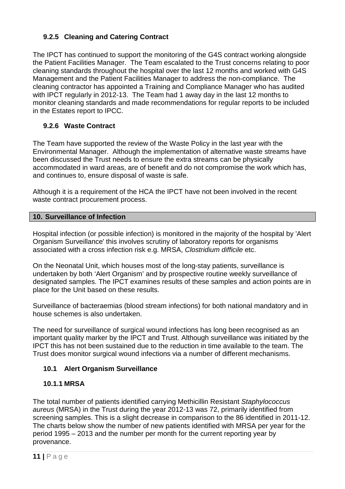#### <span id="page-14-0"></span>**9.2.5 Cleaning and Catering Contract**

The IPCT has continued to support the monitoring of the G4S contract working alongside the Patient Facilities Manager. The Team escalated to the Trust concerns relating to poor cleaning standards throughout the hospital over the last 12 months and worked with G4S Management and the Patient Facilities Manager to address the non-compliance. The cleaning contractor has appointed a Training and Compliance Manager who has audited with IPCT regularly in 2012-13. The Team had 1 away day in the last 12 months to monitor cleaning standards and made recommendations for regular reports to be included in the Estates report to IPCC.

#### <span id="page-14-1"></span>**9.2.6 Waste Contract**

The Team have supported the review of the Waste Policy in the last year with the Environmental Manager. Although the implementation of alternative waste streams have been discussed the Trust needs to ensure the extra streams can be physically accommodated in ward areas, are of benefit and do not compromise the work which has, and continues to, ensure disposal of waste is safe.

Although it is a requirement of the HCA the IPCT have not been involved in the recent waste contract procurement process.

#### <span id="page-14-2"></span>**10. Surveillance of Infection**

Hospital infection (or possible infection) is monitored in the majority of the hospital by 'Alert Organism Surveillance' this involves scrutiny of laboratory reports for organisms associated with a cross infection risk e.g. MRSA, *Clostridium difficile* etc.

On the Neonatal Unit, which houses most of the long-stay patients, surveillance is undertaken by both 'Alert Organism' and by prospective routine weekly surveillance of designated samples. The IPCT examines results of these samples and action points are in place for the Unit based on these results.

Surveillance of bacteraemias (blood stream infections) for both national mandatory and in house schemes is also undertaken.

The need for surveillance of surgical wound infections has long been recognised as an important quality marker by the IPCT and Trust. Although surveillance was initiated by the IPCT this has not been sustained due to the reduction in time available to the team. The Trust does monitor surgical wound infections via a number of different mechanisms.

#### <span id="page-14-3"></span>**10.1 Alert Organism Surveillance**

#### <span id="page-14-4"></span>**10.1.1 MRSA**

The total number of patients identified carrying Methicillin Resistant *Staphylococcus aureus* (MRSA) in the Trust during the year 2012-13 was 72, primarily identified from screening samples. This is a slight decrease in comparison to the 86 identified in 2011-12. The charts below show the number of new patients identified with MRSA per year for the period 1995 – 2013 and the number per month for the current reporting year by provenance.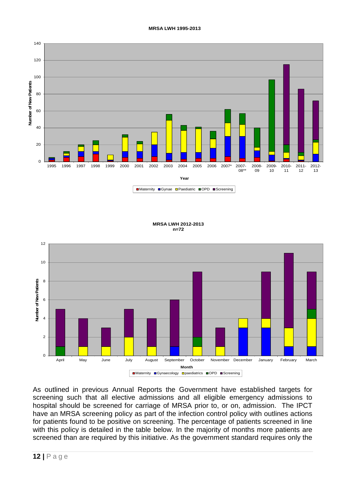#### **MRSA LWH 1995-2013**



#### **MRSA LWH 2012-2013 n=72**



As outlined in previous Annual Reports the Government have established targets for screening such that all elective admissions and all eligible emergency admissions to hospital should be screened for carriage of MRSA prior to, or on, admission. The IPCT have an MRSA screening policy as part of the infection control policy with outlines actions for patients found to be positive on screening. The percentage of patients screened in line with this policy is detailed in the table below. In the majority of months more patients are screened than are required by this initiative. As the government standard requires only the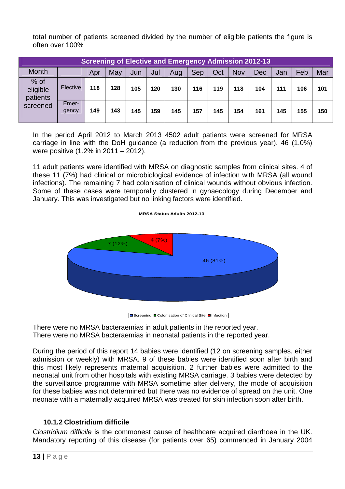total number of patients screened divided by the number of eligible patients the figure is often over 100%

| <b>Screening of Elective and Emergency Admission 2012-13</b> |                |     |     |     |     |     |     |     |            |            |     |     |     |
|--------------------------------------------------------------|----------------|-----|-----|-----|-----|-----|-----|-----|------------|------------|-----|-----|-----|
| <b>Month</b>                                                 |                | Apr | May | Jun | Jul | Aug | Sep | Oct | <b>Nov</b> | <b>Dec</b> | Jan | Feb | Mar |
| $%$ of<br>eligible<br>patients                               | Elective       | 118 | 128 | 105 | 120 | 130 | 116 | 119 | 118        | 104        | 111 | 106 | 101 |
| screened                                                     | Emer-<br>gency | 149 | 143 | 145 | 159 | 145 | 157 | 145 | 154        | 161        | 145 | 155 | 150 |

In the period April 2012 to March 2013 4502 adult patients were screened for MRSA carriage in line with the DoH guidance (a reduction from the previous year). 46 (1.0%) were positive (1.2% in 2011 – 2012).

11 adult patients were identified with MRSA on diagnostic samples from clinical sites. 4 of these 11 (7%) had clinical or microbiological evidence of infection with MRSA (all wound infections). The remaining 7 had colonisation of clinical wounds without obvious infection. Some of these cases were temporally clustered in gynaecology during December and January. This was investigated but no linking factors were identified.





**■** Screening ■ Colonisation of Clinical Site ■ Infection

There were no MRSA bacteraemias in adult patients in the reported year. There were no MRSA bacteraemias in neonatal patients in the reported year.

During the period of this report 14 babies were identified (12 on screening samples, either admission or weekly) with MRSA. 9 of these babies were identified soon after birth and this most likely represents maternal acquisition. 2 further babies were admitted to the neonatal unit from other hospitals with existing MRSA carriage. 3 babies were detected by the surveillance programme with MRSA sometime after delivery, the mode of acquisition for these babies was not determined but there was no evidence of spread on the unit. One neonate with a maternally acquired MRSA was treated for skin infection soon after birth.

## <span id="page-16-0"></span>**10.1.2 Clostridium difficile**

C*lostridium difficile* is the commonest cause of healthcare acquired diarrhoea in the UK. Mandatory reporting of this disease (for patients over 65) commenced in January 2004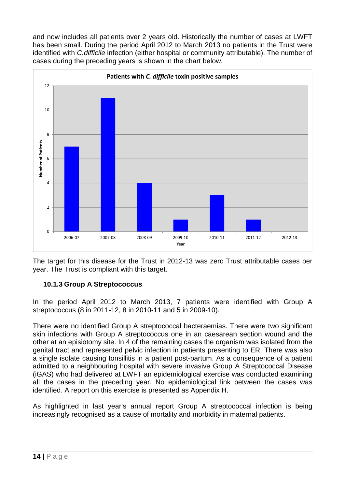and now includes all patients over 2 years old. Historically the number of cases at LWFT has been small. During the period April 2012 to March 2013 no patients in the Trust were identified with *C.difficile* infection (either hospital or community attributable). The number of cases during the preceding years is shown in the chart below.



The target for this disease for the Trust in 2012-13 was zero Trust attributable cases per year. The Trust is compliant with this target.

#### <span id="page-17-0"></span>**10.1.3 Group A Streptococcus**

In the period April 2012 to March 2013, 7 patients were identified with Group A streptococcus (8 in 2011-12, 8 in 2010-11 and 5 in 2009-10).

There were no identified Group A streptococcal bacteraemias. There were two significant skin infections with Group A streptococcus one in an caesarean section wound and the other at an episiotomy site. In 4 of the remaining cases the organism was isolated from the genital tract and represented pelvic infection in patients presenting to ER. There was also a single isolate causing tonsillitis in a patient post-partum. As a consequence of a patient admitted to a neighbouring hospital with severe invasive Group A Streptococcal Disease (iGAS) who had delivered at LWFT an epidemiological exercise was conducted examining all the cases in the preceding year. No epidemiological link between the cases was identified. A report on this exercise is presented as Appendix H.

As highlighted in last year's annual report Group A streptococcal infection is being increasingly recognised as a cause of mortality and morbidity in maternal patients.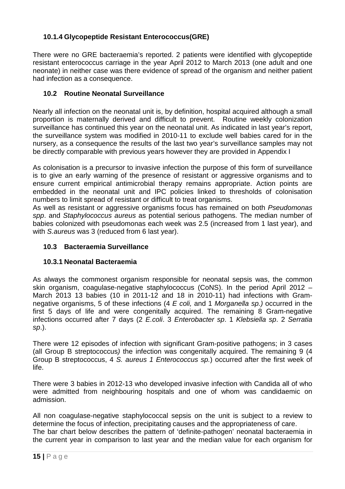#### <span id="page-18-0"></span>**10.1.4 Glycopeptide Resistant Enterococcus(GRE)**

There were no GRE bacteraemia's reported. 2 patients were identified with glycopeptide resistant enterococcus carriage in the year April 2012 to March 2013 (one adult and one neonate) in neither case was there evidence of spread of the organism and neither patient had infection as a consequence.

#### <span id="page-18-1"></span>**10.2 Routine Neonatal Surveillance**

Nearly all infection on the neonatal unit is, by definition, hospital acquired although a small proportion is maternally derived and difficult to prevent. Routine weekly colonization surveillance has continued this year on the neonatal unit. As indicated in last year's report, the surveillance system was modified in 2010-11 to exclude well babies cared for in the nursery, as a consequence the results of the last two year's surveillance samples may not be directly comparable with previous years however they are provided in Appendix I

As colonisation is a precursor to invasive infection the purpose of this form of surveillance is to give an early warning of the presence of resistant or aggressive organisms and to ensure current empirical antimicrobial therapy remains appropriate. Action points are embedded in the neonatal unit and IPC policies linked to thresholds of colonisation numbers to limit spread of resistant or difficult to treat organisms.

As well as resistant or aggressive organisms focus has remained on both *Pseudomonas spp*. and *Staphylococcus aureus* as potential serious pathogens. The median number of babies colonized with pseudomonas each week was 2.5 (increased from 1 last year), and with *S.aureus* was 3 (reduced from 6 last year).

#### <span id="page-18-2"></span>**10.3 Bacteraemia Surveillance**

#### <span id="page-18-3"></span>**10.3.1 Neonatal Bacteraemia**

As always the commonest organism responsible for neonatal sepsis was, the common skin organism, coagulase-negative staphylococcus (CoNS). In the period April 2012 – March 2013 13 babies (10 in 2011-12 and 18 in 2010-11) had infections with Gramnegative organisms, 5 of these infections (4 *E coli,* and 1 *Morganella sp.)* occurred in the first 5 days of life and were congenitally acquired. The remaining 8 Gram-negative infections occurred after 7 days (2 *E.coli*. 3 *Enterobacter sp*. 1 *Klebsiella sp*. 2 *Serratia sp*.).

There were 12 episodes of infection with significant Gram-positive pathogens; in 3 cases (all Group B streptococcus*)* the infection was congenitally acquired. The remaining 9 (4 Group B streptococcus, 4 *S. aureus 1 Enterococcus sp.*) occurred after the first week of life.

There were 3 babies in 2012-13 who developed invasive infection with Candida all of who were admitted from neighbouring hospitals and one of whom was candidaemic on admission.

All non coagulase-negative staphylococcal sepsis on the unit is subject to a review to determine the focus of infection, precipitating causes and the appropriateness of care. The bar chart below describes the pattern of 'definite-pathogen' neonatal bacteraemia in the current year in comparison to last year and the median value for each organism for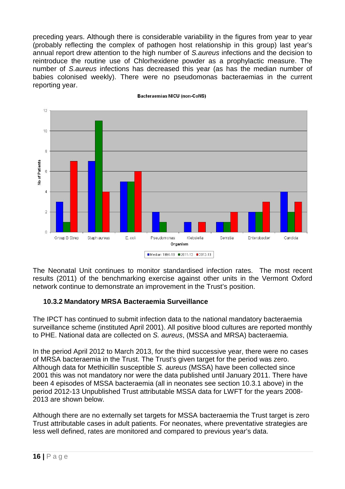preceding years. Although there is considerable variability in the figures from year to year (probably reflecting the complex of pathogen host relationship in this group) last year's annual report drew attention to the high number of *S.aureus* infections and the decision to reintroduce the routine use of Chlorhexidene powder as a prophylactic measure. The number of *S.aureus* infections has decreased this year (as has the median number of babies colonised weekly). There were no pseudomonas bacteraemias in the current reporting year.



Bacteraemias NICU (non-CoNS)

The Neonatal Unit continues to monitor standardised infection rates. The most recent results (2011) of the benchmarking exercise against other units in the Vermont Oxford network continue to demonstrate an improvement in the Trust's position.

#### <span id="page-19-0"></span>**10.3.2 Mandatory MRSA Bacteraemia Surveillance**

The IPCT has continued to submit infection data to the national mandatory bacteraemia surveillance scheme (instituted April 2001). All positive blood cultures are reported monthly to PHE. National data are collected on *S. aureus*, (MSSA and MRSA) bacteraemia.

In the period April 2012 to March 2013, for the third successive year, there were no cases of MRSA bacteraemia in the Trust. The Trust's given target for the period was zero. Although data for Methicillin susceptible *S. aureus* (MSSA) have been collected since 2001 this was not mandatory nor were the data published until January 2011. There have been 4 episodes of MSSA bacteraemia (all in neonates see section 10.3.1 above) in the period 2012-13 Unpublished Trust attributable MSSA data for LWFT for the years 2008- 2013 are shown below.

Although there are no externally set targets for MSSA bacteraemia the Trust target is zero Trust attributable cases in adult patients. For neonates, where preventative strategies are less well defined, rates are monitored and compared to previous year's data.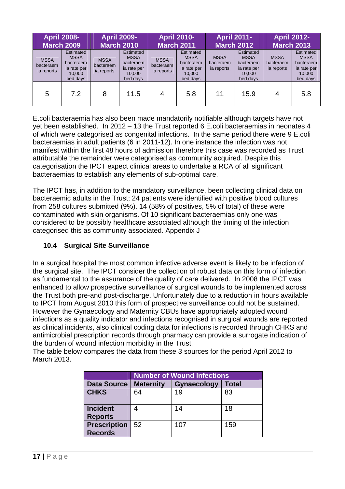| <b>April 2008-</b><br><b>March 2009</b> |                                                                            | <b>April 2009-</b><br><b>March 2010</b> |                                                                            | <b>April 2010-</b><br><b>March 2011</b> |                                                                            | <b>April 2011-</b><br><b>March 2012</b> |                                                                                   | <b>April 2012-</b><br><b>March 2013</b> |                                                                            |
|-----------------------------------------|----------------------------------------------------------------------------|-----------------------------------------|----------------------------------------------------------------------------|-----------------------------------------|----------------------------------------------------------------------------|-----------------------------------------|-----------------------------------------------------------------------------------|-----------------------------------------|----------------------------------------------------------------------------|
| <b>MSSA</b><br>bacteraem<br>ia reports  | Estimated<br><b>MSSA</b><br>bacteraem<br>ia rate per<br>10,000<br>bed days | <b>MSSA</b><br>bacteraem<br>ia reports  | Estimated<br><b>MSSA</b><br>bacteraem<br>ia rate per<br>10,000<br>bed days | <b>MSSA</b><br>bacteraem<br>ia reports  | Estimated<br><b>MSSA</b><br>bacteraem<br>ia rate per<br>10,000<br>bed days | <b>MSSA</b><br>bacteraem<br>ia reports  | <b>Estimated</b><br><b>MSSA</b><br>bacteraem<br>ia rate per<br>10,000<br>bed days | <b>MSSA</b><br>bacteraem<br>ia reports  | Estimated<br><b>MSSA</b><br>bacteraem<br>ia rate per<br>10,000<br>bed days |
| 5                                       | 7.2                                                                        | 8                                       | 11.5                                                                       | 4                                       | 5.8                                                                        | 11                                      | 15.9                                                                              |                                         | 5.8                                                                        |

E.coli bacteraemia has also been made mandatorily notifiable although targets have not yet been established. In 2012 – 13 the Trust reported 6 E.coli bacteraemias in neonates 4 of which were categorised as congenital infections. In the same period there were 9 E.coli bacteraemias in adult patients (6 in 2011-12). In one instance the infection was not manifest within the first 48 hours of admission therefore this case was recorded as Trust attributable the remainder were categorised as community acquired. Despite this categorisation the IPCT expect clinical areas to undertake a RCA of all significant bacteraemias to establish any elements of sub-optimal care.

The IPCT has, in addition to the mandatory surveillance, been collecting clinical data on bacteraemic adults in the Trust; 24 patients were identified with positive blood cultures from 258 cultures submitted (9%). 14 (58% of positives, 5% of total) of these were contaminated with skin organisms. Of 10 significant bacteraemias only one was considered to be possibly healthcare associated although the timing of the infection categorised this as community associated. Appendix J

#### <span id="page-20-0"></span>**10.4 Surgical Site Surveillance**

In a surgical hospital the most common infective adverse event is likely to be infection of the surgical site. The IPCT consider the collection of robust data on this form of infection as fundamental to the assurance of the quality of care delivered. In 2008 the IPCT was enhanced to allow prospective surveillance of surgical wounds to be implemented across the Trust both pre-and post-discharge. Unfortunately due to a reduction in hours available to IPCT from August 2010 this form of prospective surveillance could not be sustained. However the Gynaecology and Maternity CBUs have appropriately adopted wound infections as a quality indicator and infections recognised in surgical wounds are reported as clinical incidents, also clinical coding data for infections is recorded through CHKS and antimicrobial prescription records through pharmacy can provide a surrogate indication of the burden of wound infection morbidity in the Trust.

The table below compares the data from these 3 sources for the period April 2012 to March 2013.

|                                       | <b>Number of Wound Infections</b> |             |              |  |  |  |  |
|---------------------------------------|-----------------------------------|-------------|--------------|--|--|--|--|
| <b>Data Source</b>                    | <b>Maternity</b>                  | Gynaecology | <b>Total</b> |  |  |  |  |
| <b>CHKS</b>                           | 64                                | 19          | 83           |  |  |  |  |
| <b>Incident</b><br><b>Reports</b>     |                                   | 14          | 18           |  |  |  |  |
| <b>Prescription</b><br><b>Records</b> | 52                                | 107         | 159          |  |  |  |  |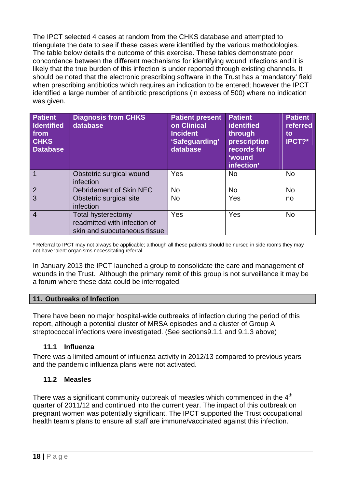The IPCT selected 4 cases at random from the CHKS database and attempted to triangulate the data to see if these cases were identified by the various methodologies. The table below details the outcome of this exercise. These tables demonstrate poor concordance between the different mechanisms for identifying wound infections and it is likely that the true burden of this infection is under reported through existing channels. It should be noted that the electronic prescribing software in the Trust has a 'mandatory' field when prescribing antibiotics which requires an indication to be entered; however the IPCT identified a large number of antibiotic prescriptions (in excess of 500) where no indication was given.

| <b>Patient</b><br><b>Identified</b><br>from<br><b>CHKS</b><br><b>Database</b> | <b>Diagnosis from CHKS</b><br>database                                                    | <b>Patient present</b><br>on Clinical<br><b>Incident</b><br>'Safeguarding'<br>database | <b>Patient</b><br>identified<br>through<br>prescription<br>records for<br><b>'wound</b><br>infection' | <b>Patient</b><br>referred<br>to<br>IPCT?* |
|-------------------------------------------------------------------------------|-------------------------------------------------------------------------------------------|----------------------------------------------------------------------------------------|-------------------------------------------------------------------------------------------------------|--------------------------------------------|
|                                                                               | Obstetric surgical wound<br>infection                                                     | Yes                                                                                    | <b>No</b>                                                                                             | <b>No</b>                                  |
| 2                                                                             | Debridement of Skin NEC                                                                   | <b>No</b>                                                                              | <b>No</b>                                                                                             | <b>No</b>                                  |
| 3                                                                             | Obstetric surgical site<br>infection                                                      | <b>No</b>                                                                              | Yes                                                                                                   | no                                         |
| $\overline{4}$                                                                | <b>Total hysterectomy</b><br>readmitted with infection of<br>skin and subcutaneous tissue | Yes                                                                                    | Yes                                                                                                   | <b>No</b>                                  |

\* Referral to IPCT may not always be applicable; although all these patients should be nursed in side rooms they may not have 'alert' organisms necessitating referral.

In January 2013 the IPCT launched a group to consolidate the care and management of wounds in the Trust. Although the primary remit of this group is not surveillance it may be a forum where these data could be interrogated.

#### <span id="page-21-0"></span>**11. Outbreaks of Infection**

There have been no major hospital-wide outbreaks of infection during the period of this report, although a potential cluster of MRSA episodes and a cluster of Group A streptococcal infections were investigated. (See sections9.1.1 and 9.1.3 above)

#### <span id="page-21-1"></span>**11.1 Influenza**

There was a limited amount of influenza activity in 2012/13 compared to previous years and the pandemic influenza plans were not activated.

#### <span id="page-21-2"></span>**11.2 Measles**

There was a significant community outbreak of measles which commenced in the 4<sup>th</sup> quarter of 2011/12 and continued into the current year. The impact of this outbreak on pregnant women was potentially significant. The IPCT supported the Trust occupational health team's plans to ensure all staff are immune/vaccinated against this infection.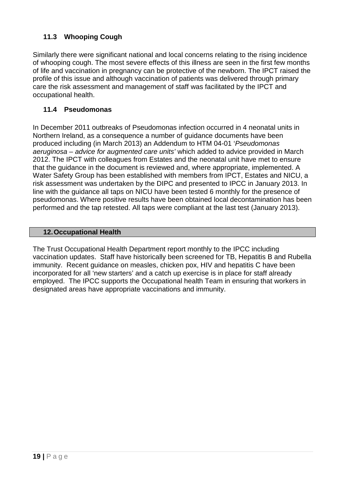## <span id="page-22-0"></span>**11.3 Whooping Cough**

Similarly there were significant national and local concerns relating to the rising incidence of whooping cough. The most severe effects of this illness are seen in the first few months of life and vaccination in pregnancy can be protective of the newborn. The IPCT raised the profile of this issue and although vaccination of patients was delivered through primary care the risk assessment and management of staff was facilitated by the IPCT and occupational health.

#### <span id="page-22-1"></span>**11.4 Pseudomonas**

In December 2011 outbreaks of Pseudomonas infection occurred in 4 neonatal units in Northern Ireland, as a consequence a number of guidance documents have been produced including (in March 2013) an Addendum to HTM 04-01 '*Pseudomonas aeruginosa – advice for augmented care units'* which added to advice provided in March 2012. The IPCT with colleagues from Estates and the neonatal unit have met to ensure that the guidance in the document is reviewed and, where appropriate, implemented. A Water Safety Group has been established with members from IPCT, Estates and NICU, a risk assessment was undertaken by the DIPC and presented to IPCC in January 2013. In line with the guidance all taps on NICU have been tested 6 monthly for the presence of pseudomonas. Where positive results have been obtained local decontamination has been performed and the tap retested. All taps were compliant at the last test (January 2013).

#### <span id="page-22-2"></span>**12.Occupational Health**

The Trust Occupational Health Department report monthly to the IPCC including vaccination updates. Staff have historically been screened for TB, Hepatitis B and Rubella immunity. Recent guidance on measles, chicken pox, HIV and hepatitis C have been incorporated for all 'new starters' and a catch up exercise is in place for staff already employed. The IPCC supports the Occupational health Team in ensuring that workers in designated areas have appropriate vaccinations and immunity.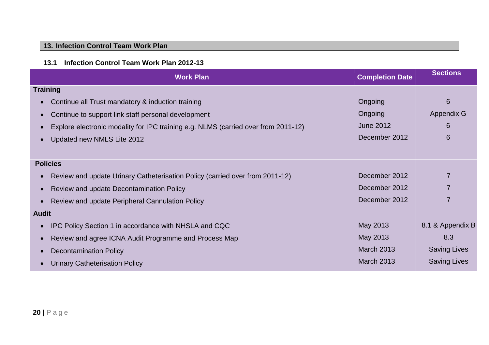## **13. Infection Control Team Work Plan**

#### **13.1 Infection Control Team Work Plan 2012-13**

<span id="page-23-1"></span><span id="page-23-0"></span>

| <b>Work Plan</b>                                                                                | <b>Completion Date</b> | <b>Sections</b>     |
|-------------------------------------------------------------------------------------------------|------------------------|---------------------|
| <b>Training</b>                                                                                 |                        |                     |
| Continue all Trust mandatory & induction training<br>$\bullet$                                  | Ongoing                | 6                   |
| Continue to support link staff personal development<br>$\bullet$                                | <b>Ongoing</b>         | Appendix G          |
| Explore electronic modality for IPC training e.g. NLMS (carried over from 2011-12)<br>$\bullet$ | <b>June 2012</b>       | 6                   |
| Updated new NMLS Lite 2012<br>$\bullet$                                                         | December 2012          | 6                   |
|                                                                                                 |                        |                     |
| <b>Policies</b>                                                                                 |                        |                     |
| Review and update Urinary Catheterisation Policy (carried over from 2011-12)<br>$\bullet$       | December 2012          |                     |
| Review and update Decontamination Policy<br>$\bullet$                                           | December 2012          |                     |
| Review and update Peripheral Cannulation Policy<br>$\bullet$                                    | December 2012          |                     |
| <b>Audit</b>                                                                                    |                        |                     |
| IPC Policy Section 1 in accordance with NHSLA and CQC<br>$\bullet$                              | May 2013               | 8.1 & Appendix B    |
| Review and agree ICNA Audit Programme and Process Map<br>$\bullet$                              | May 2013               | 8.3                 |
| <b>Decontamination Policy</b><br>$\bullet$                                                      | <b>March 2013</b>      | <b>Saving Lives</b> |
| <b>Urinary Catheterisation Policy</b>                                                           | <b>March 2013</b>      | <b>Saving Lives</b> |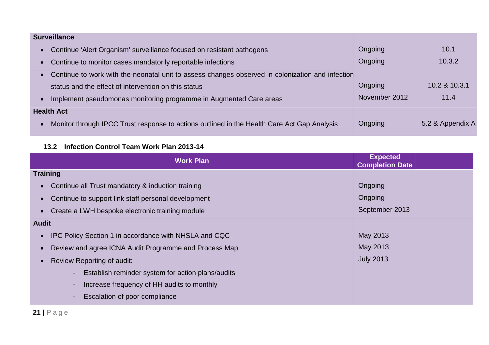| <b>Surveillance</b>                                                                                      |               |                  |
|----------------------------------------------------------------------------------------------------------|---------------|------------------|
| • Continue 'Alert Organism' surveillance focused on resistant pathogens                                  | Ongoing       | 10.1             |
| Continue to monitor cases mandatorily reportable infections<br>$\bullet$                                 | Ongoing       | 10.3.2           |
| • Continue to work with the neonatal unit to assess changes observed in colonization and infection       |               |                  |
| status and the effect of intervention on this status                                                     | Ongoing       | 10.2 & 10.3.1    |
| Implement pseudomonas monitoring programme in Augmented Care areas<br>$\bullet$                          | November 2012 | 11.4             |
| <b>Health Act</b>                                                                                        |               |                  |
| Monitor through IPCC Trust response to actions outlined in the Health Care Act Gap Analysis<br>$\bullet$ | Ongoing       | 5.2 & Appendix A |

## **13.2 Infection Control Team Work Plan 2013-14**

<span id="page-24-0"></span>

| <b>Work Plan</b>                                             | <b>Expected</b><br><b>Completion Date</b> |
|--------------------------------------------------------------|-------------------------------------------|
| <b>Training</b>                                              |                                           |
| Continue all Trust mandatory & induction training            | Ongoing                                   |
| Continue to support link staff personal development          | Ongoing                                   |
| Create a LWH bespoke electronic training module              | September 2013                            |
| <b>Audit</b>                                                 |                                           |
| <b>IPC Policy Section 1 in accordance with NHSLA and CQC</b> | May 2013                                  |
| Review and agree ICNA Audit Programme and Process Map        | May 2013                                  |
| Review Reporting of audit:                                   | <b>July 2013</b>                          |
| Establish reminder system for action plans/audits<br>$\sim$  |                                           |
| Increase frequency of HH audits to monthly<br>۰.             |                                           |
| Escalation of poor compliance<br>۰.                          |                                           |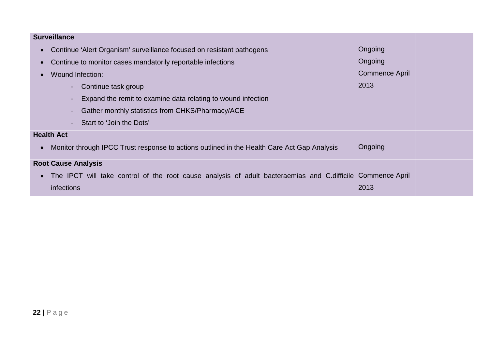| <b>Surveillance</b>                                                                                      |                       |  |
|----------------------------------------------------------------------------------------------------------|-----------------------|--|
| Continue 'Alert Organism' surveillance focused on resistant pathogens<br>$\bullet$                       | Ongoing               |  |
| Continue to monitor cases mandatorily reportable infections<br>$\bullet$                                 | Ongoing               |  |
| <b>Wound Infection:</b><br>$\bullet$                                                                     | <b>Commence April</b> |  |
| Continue task group                                                                                      | 2013                  |  |
| Expand the remit to examine data relating to wound infection                                             |                       |  |
| Gather monthly statistics from CHKS/Pharmacy/ACE                                                         |                       |  |
| Start to 'Join the Dots'<br>$\sim$                                                                       |                       |  |
| <b>Health Act</b>                                                                                        |                       |  |
| Monitor through IPCC Trust response to actions outlined in the Health Care Act Gap Analysis<br>$\bullet$ | Ongoing               |  |
| <b>Root Cause Analysis</b>                                                                               |                       |  |
| The IPCT will take control of the root cause analysis of adult bacteraemias and C.difficile<br>$\bullet$ | <b>Commence April</b> |  |
| infections                                                                                               | 2013                  |  |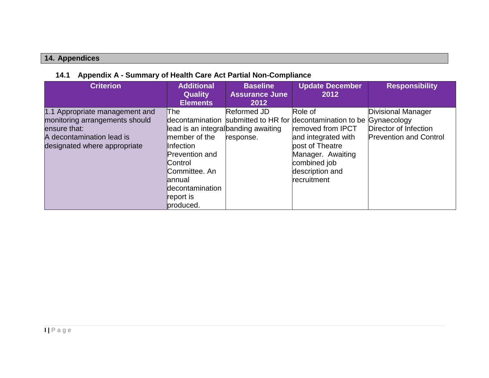## **14. Appendices**

## **14.1 Appendix A - Summary of Health Care Act Partial Non-Compliance**

<span id="page-26-1"></span><span id="page-26-0"></span>

| <b>Criterion</b>                                                                                                                              | <b>Additional</b><br><b>Quality</b><br><b>Elements</b>                                                                                                                                | <b>Baseline</b><br><b>Assurance June</b><br>2012 | <b>Update December</b><br>2012                                                                                                                                                                                         | <b>Responsibility</b>                                                        |
|-----------------------------------------------------------------------------------------------------------------------------------------------|---------------------------------------------------------------------------------------------------------------------------------------------------------------------------------------|--------------------------------------------------|------------------------------------------------------------------------------------------------------------------------------------------------------------------------------------------------------------------------|------------------------------------------------------------------------------|
| 1.1 Appropriate management and<br>monitoring arrangements should<br>ensure that:<br>A decontamination lead is<br>designated where appropriate | The<br>lead is an integral banding awaiting<br>member of the<br>Infection<br><b>Prevention and</b><br>Control<br>Committee, An<br>annual<br>decontamination<br>report is<br>produced. | Reformed JD<br>response.                         | Role of<br>decontamination submitted to HR for decontamination to be Gynaecology<br>removed from IPCT<br>and integrated with<br>post of Theatre<br>Manager. Awaiting<br>combined job<br>description and<br>recruitment | Divisional Manager<br>Director of Infection<br><b>Prevention and Control</b> |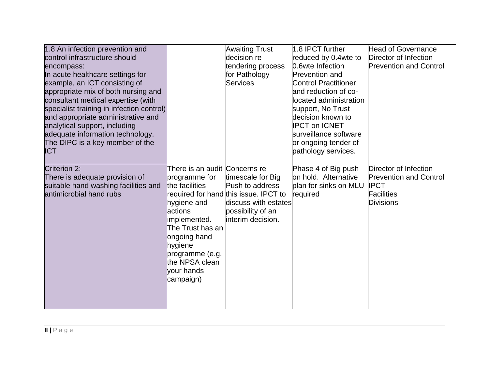| 1.8 An infection prevention and<br>control infrastructure should<br>encompass:<br>In acute healthcare settings for<br>example, an ICT consisting of<br>appropriate mix of both nursing and<br>consultant medical expertise (with<br>specialist training in infection control)<br>and appropriate administrative and<br>analytical support, including |                                                                                                                                                                                                                           | <b>Awaiting Trust</b><br>decision re<br>tendering process<br>for Pathology<br>Services                                                          | 1.8 IPCT further<br>reduced by 0.4wte to<br>0.6wte Infection<br><b>Prevention and</b><br><b>Control Practitioner</b><br>and reduction of co-<br>located administration<br>support, No Trust<br>ldecision known to<br><b>IPCT on ICNET</b> | <b>Head of Governance</b><br>Director of Infection<br><b>Prevention and Control</b>                            |
|------------------------------------------------------------------------------------------------------------------------------------------------------------------------------------------------------------------------------------------------------------------------------------------------------------------------------------------------------|---------------------------------------------------------------------------------------------------------------------------------------------------------------------------------------------------------------------------|-------------------------------------------------------------------------------------------------------------------------------------------------|-------------------------------------------------------------------------------------------------------------------------------------------------------------------------------------------------------------------------------------------|----------------------------------------------------------------------------------------------------------------|
| adequate information technology.<br>The DIPC is a key member of the<br><b>ICT</b><br>Criterion 2:<br>There is adequate provision of<br>suitable hand washing facilities and<br>antimicrobial hand rubs                                                                                                                                               | There is an audit Concerns re<br>programme for<br>the facilities<br>hygiene and<br>actions<br>implemented.<br>The Trust has an<br>ongoing hand<br>hygiene<br>programme (e.g.<br>the NPSA clean<br>vour hands<br>campaign) | timescale for Big<br>Push to address<br>required for hand this issue. IPCT to<br>discuss with estates<br>possibility of an<br>interim decision. | surveillance software<br>or ongoing tender of<br>pathology services.<br>Phase 4 of Big push<br>on hold. Alternative<br>plan for sinks on MLU<br>required                                                                                  | Director of Infection<br><b>Prevention and Control</b><br><b>IPCT</b><br><b>Facilities</b><br><b>Divisions</b> |
|                                                                                                                                                                                                                                                                                                                                                      |                                                                                                                                                                                                                           |                                                                                                                                                 |                                                                                                                                                                                                                                           |                                                                                                                |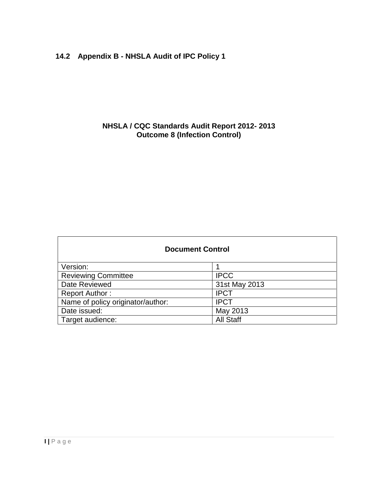## <span id="page-28-0"></span>**14.2 Appendix B - NHSLA Audit of IPC Policy 1**

#### **NHSLA / CQC Standards Audit Report 2012- 2013 Outcome 8 (Infection Control)**

| <b>Document Control</b>           |                  |  |  |  |  |  |  |
|-----------------------------------|------------------|--|--|--|--|--|--|
| Version:                          |                  |  |  |  |  |  |  |
| <b>Reviewing Committee</b>        | <b>IPCC</b>      |  |  |  |  |  |  |
| Date Reviewed                     | 31st May 2013    |  |  |  |  |  |  |
| <b>Report Author:</b>             | <b>IPCT</b>      |  |  |  |  |  |  |
| Name of policy originator/author: | <b>IPCT</b>      |  |  |  |  |  |  |
| Date issued:                      | May 2013         |  |  |  |  |  |  |
| Target audience:                  | <b>All Staff</b> |  |  |  |  |  |  |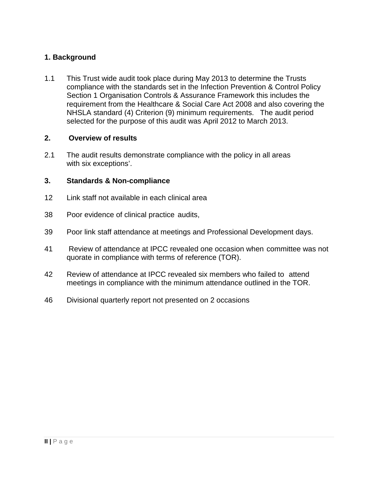#### **1. Background**

1.1 This Trust wide audit took place during May 2013 to determine the Trusts compliance with the standards set in the Infection Prevention & Control Policy Section 1 Organisation Controls & Assurance Framework this includes the requirement from the Healthcare & Social Care Act 2008 and also covering the NHSLA standard (4) Criterion (9) minimum requirements. The audit period selected for the purpose of this audit was April 2012 to March 2013.

#### **2. Overview of results**

2.1 The audit results demonstrate compliance with the policy in all areas with six exceptions'.

#### **3. Standards & Non-compliance**

- 12 Link staff not available in each clinical area
- 38 Poor evidence of clinical practice audits,
- 39 Poor link staff attendance at meetings and Professional Development days.
- 41 Review of attendance at IPCC revealed one occasion when committee was not quorate in compliance with terms of reference (TOR).
- 42 Review of attendance at IPCC revealed six members who failed to attend meetings in compliance with the minimum attendance outlined in the TOR.
- 46 Divisional quarterly report not presented on 2 occasions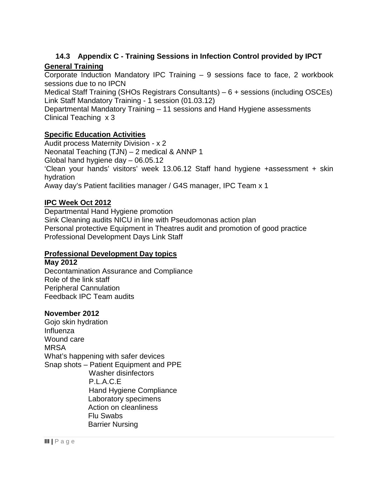#### **14.3 Appendix C - Training Sessions in Infection Control provided by IPCT General Training**

<span id="page-30-0"></span>Corporate Induction Mandatory IPC Training – 9 sessions face to face, 2 workbook sessions due to no IPCN

Medical Staff Training (SHOs Registrars Consultants) – 6 + sessions (including OSCEs) Link Staff Mandatory Training - 1 session (01.03.12)

Departmental Mandatory Training – 11 sessions and Hand Hygiene assessments Clinical Teaching x 3

#### **Specific Education Activities**

Audit process Maternity Division - x 2 Neonatal Teaching (TJN) – 2 medical & ANNP 1 Global hand hygiene day – 06.05.12 'Clean your hands' visitors' week 13.06.12 Staff hand hygiene +assessment + skin hydration Away day's Patient facilities manager / G4S manager, IPC Team x 1

#### **IPC Week Oct 2012**

Departmental Hand Hygiene promotion Sink Cleaning audits NICU in line with Pseudomonas action plan Personal protective Equipment in Theatres audit and promotion of good practice Professional Development Days Link Staff

#### **Professional Development Day topics**

**May 2012** Decontamination Assurance and Compliance Role of the link staff Peripheral Cannulation Feedback IPC Team audits

#### **November 2012**

Gojo skin hydration Influenza Wound care MRSA What's happening with safer devices Snap shots – Patient Equipment and PPE Washer disinfectors P.L.A.C.E Hand Hygiene Compliance Laboratory specimens Action on cleanliness Flu Swabs Barrier Nursing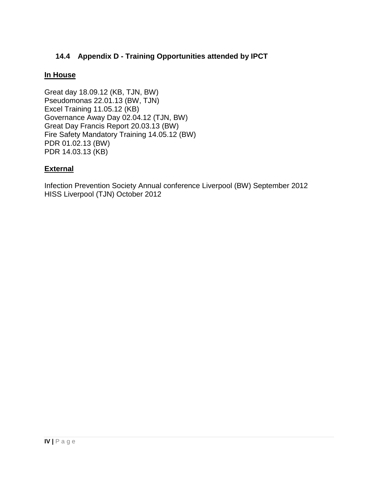#### <span id="page-31-0"></span>**14.4 Appendix D - Training Opportunities attended by IPCT**

#### **In House**

Great day 18.09.12 (KB, TJN, BW) Pseudomonas 22.01.13 (BW, TJN) Excel Training 11.05.12 (KB) Governance Away Day 02.04.12 (TJN, BW) Great Day Francis Report 20.03.13 (BW) Fire Safety Mandatory Training 14.05.12 (BW) PDR 01.02.13 (BW) PDR 14.03.13 (KB)

#### **External**

Infection Prevention Society Annual conference Liverpool (BW) September 2012 HISS Liverpool (TJN) October 2012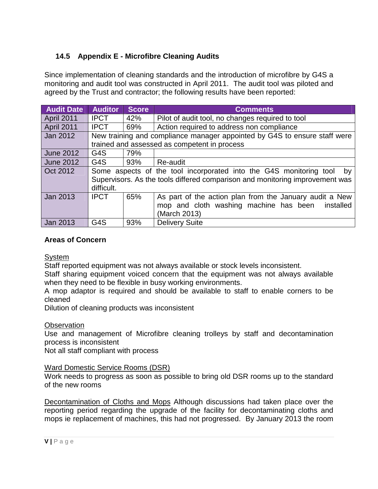## <span id="page-32-0"></span>**14.5 Appendix E - Microfibre Cleaning Audits**

Since implementation of cleaning standards and the introduction of microfibre by G4S a monitoring and audit tool was constructed in April 2011. The audit tool was piloted and agreed by the Trust and contractor; the following results have been reported:

| <b>Audit Date</b> | <b>Auditor</b>   | <b>Score</b> | <b>Comments</b>                                                              |  |  |  |  |  |  |
|-------------------|------------------|--------------|------------------------------------------------------------------------------|--|--|--|--|--|--|
| April 2011        | <b>IPCT</b>      | 42%          | Pilot of audit tool, no changes required to tool                             |  |  |  |  |  |  |
| <b>April 2011</b> | <b>IPCT</b>      | 69%          | Action required to address non compliance                                    |  |  |  |  |  |  |
| Jan 2012          |                  |              | New training and compliance manager appointed by G4S to ensure staff were    |  |  |  |  |  |  |
|                   |                  |              | trained and assessed as competent in process                                 |  |  |  |  |  |  |
| <b>June 2012</b>  | G4S              | 79%          |                                                                              |  |  |  |  |  |  |
| <b>June 2012</b>  | G4S              | 93%          | Re-audit                                                                     |  |  |  |  |  |  |
| Oct 2012          |                  |              | Some aspects of the tool incorporated into the G4S monitoring tool<br>by     |  |  |  |  |  |  |
|                   | difficult.       |              | Supervisors. As the tools differed comparison and monitoring improvement was |  |  |  |  |  |  |
| Jan 2013          | <b>IPCT</b>      | 65%          | As part of the action plan from the January audit a New                      |  |  |  |  |  |  |
|                   |                  |              | mop and cloth washing machine has been<br>installed                          |  |  |  |  |  |  |
|                   |                  |              | (March 2013)                                                                 |  |  |  |  |  |  |
| Jan 2013          | G <sub>4</sub> S | 93%          | <b>Delivery Suite</b>                                                        |  |  |  |  |  |  |

#### **Areas of Concern**

**System** 

Staff reported equipment was not always available or stock levels inconsistent.

Staff sharing equipment voiced concern that the equipment was not always available when they need to be flexible in busy working environments.

A mop adaptor is required and should be available to staff to enable corners to be cleaned

Dilution of cleaning products was inconsistent

#### **Observation**

Use and management of Microfibre cleaning trolleys by staff and decontamination process is inconsistent

Not all staff compliant with process

#### Ward Domestic Service Rooms (DSR)

Work needs to progress as soon as possible to bring old DSR rooms up to the standard of the new rooms

Decontamination of Cloths and Mops Although discussions had taken place over the reporting period regarding the upgrade of the facility for decontaminating cloths and mops ie replacement of machines, this had not progressed. By January 2013 the room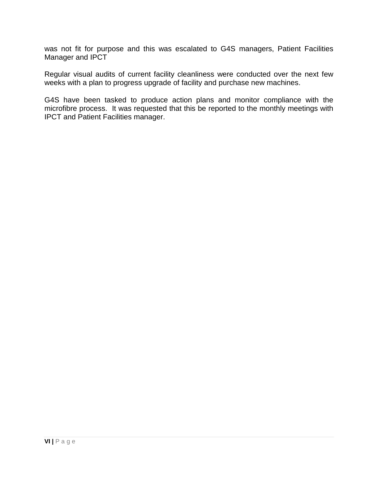was not fit for purpose and this was escalated to G4S managers, Patient Facilities Manager and **IPCT** 

Regular visual audits of current facility cleanliness were conducted over the next few weeks with a plan to progress upgrade of facility and purchase new machines.

G4S have been tasked to produce action plans and monitor compliance with the microfibre process. It was requested that this be reported to the monthly meetings with IPCT and Patient Facilities manager.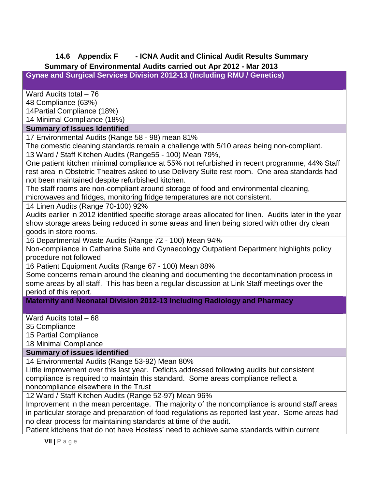# <span id="page-34-0"></span>**14.6 Appendix F - ICNA Audit and Clinical Audit Results Summary**

## **Summary of Environmental Audits carried out Apr 2012 - Mar 2013**

**Gynae and Surgical Services Division 2012-13 (Including RMU / Genetics)**

Ward Audits total – 76

48 Compliance (63%)

14Partial Compliance (18%)

14 Minimal Compliance (18%)

#### **Summary of Issues Identified**

17 Environmental Audits (Range 58 - 98) mean 81%

The domestic cleaning standards remain a challenge with 5/10 areas being non-compliant.

13 Ward / Staff Kitchen Audits (Range55 - 100) Mean 79%,

One patient kitchen minimal compliance at 55% not refurbished in recent programme, 44% Staff rest area in Obstetric Theatres asked to use Delivery Suite rest room. One area standards had not been maintained despite refurbished kitchen.

The staff rooms are non-compliant around storage of food and environmental cleaning,

microwaves and fridges, monitoring fridge temperatures are not consistent.

14 Linen Audits (Range 70-100) 92%

Audits earlier in 2012 identified specific storage areas allocated for linen. Audits later in the year show storage areas being reduced in some areas and linen being stored with other dry clean goods in store rooms.

16 Departmental Waste Audits (Range 72 - 100) Mean 94%

Non-compliance in Catharine Suite and Gynaecology Outpatient Department highlights policy procedure not followed

16 Patient Equipment Audits (Range 67 - 100) Mean 88%

Some concerns remain around the cleaning and documenting the decontamination process in some areas by all staff. This has been a regular discussion at Link Staff meetings over the period of this report.

**Maternity and Neonatal Division 2012-13 Including Radiology and Pharmacy**

Ward Audits total – 68

35 Compliance

15 Partial Compliance

18 Minimal Compliance

#### **Summary of issues identified**

14 Environmental Audits (Range 53-92) Mean 80%

Little improvement over this last year. Deficits addressed following audits but consistent compliance is required to maintain this standard. Some areas compliance reflect a noncompliance elsewhere in the Trust

12 Ward / Staff Kitchen Audits (Range 52-97) Mean 96%

Improvement in the mean percentage. The majority of the noncompliance is around staff areas in particular storage and preparation of food regulations as reported last year. Some areas had no clear process for maintaining standards at time of the audit.

Patient kitchens that do not have Hostess' need to achieve same standards within current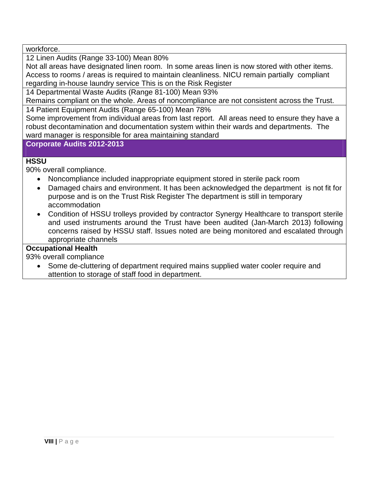workforce.

12 Linen Audits (Range 33-100) Mean 80%

Not all areas have designated linen room. In some areas linen is now stored with other items. Access to rooms / areas is required to maintain cleanliness. NICU remain partially compliant regarding in-house laundry service This is on the Risk Register

14 Departmental Waste Audits (Range 81-100) Mean 93%

Remains compliant on the whole. Areas of noncompliance are not consistent across the Trust.

14 Patient Equipment Audits (Range 65-100) Mean 78%

Some improvement from individual areas from last report. All areas need to ensure they have a robust decontamination and documentation system within their wards and departments. The ward manager is responsible for area maintaining standard

**Corporate Audits 2012-2013**

#### **HSSU**

90% overall compliance.

- Noncompliance included inappropriate equipment stored in sterile pack room
- Damaged chairs and environment. It has been acknowledged the department is not fit for purpose and is on the Trust Risk Register The department is still in temporary accommodation
- Condition of HSSU trolleys provided by contractor Synergy Healthcare to transport sterile and used instruments around the Trust have been audited (Jan-March 2013) following concerns raised by HSSU staff. Issues noted are being monitored and escalated through appropriate channels

#### **Occupational Health**

93% overall compliance

 Some de-cluttering of department required mains supplied water cooler require and attention to storage of staff food in department.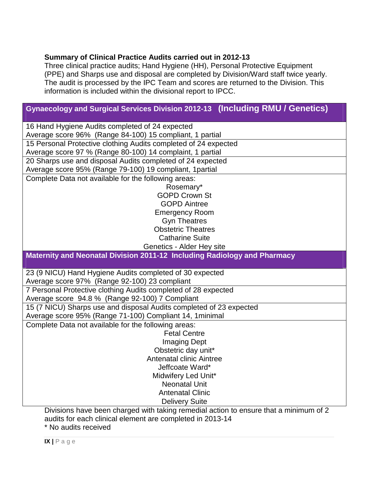#### **Summary of Clinical Practice Audits carried out in 2012-13**

Three clinical practice audits; Hand Hygiene (HH), Personal Protective Equipment (PPE) and Sharps use and disposal are completed by Division/Ward staff twice yearly. The audit is processed by the IPC Team and scores are returned to the Division. This information is included within the divisional report to IPCC.

## **Gynaecology and Surgical Services Division 2012-13 (Including RMU / Genetics)**

| Average score 96% (Range 84-100) 15 compliant, 1 partial<br>15 Personal Protective clothing Audits completed of 24 expected<br>Average score 97 % (Range 80-100) 14 complaint, 1 partial<br>20 Sharps use and disposal Audits completed of 24 expected<br>Average score 95% (Range 79-100) 19 compliant, 1 partial<br>Complete Data not available for the following areas:<br>Rosemary*<br><b>GOPD Crown St</b><br><b>GOPD Aintree</b><br><b>Emergency Room</b><br><b>Gyn Theatres</b><br><b>Obstetric Theatres</b><br><b>Catharine Suite</b><br>Genetics - Alder Hey site<br>Maternity and Neonatal Division 2011-12 Including Radiology and Pharmacy<br>23 (9 NICU) Hand Hygiene Audits completed of 30 expected<br>Average score 97% (Range 92-100) 23 compliant<br>7 Personal Protective clothing Audits completed of 28 expected<br>Average score 94.8 % (Range 92-100) 7 Compliant<br>15 (7 NICU) Sharps use and disposal Audits completed of 23 expected<br>Average score 95% (Range 71-100) Compliant 14, 1 minimal |
|-----------------------------------------------------------------------------------------------------------------------------------------------------------------------------------------------------------------------------------------------------------------------------------------------------------------------------------------------------------------------------------------------------------------------------------------------------------------------------------------------------------------------------------------------------------------------------------------------------------------------------------------------------------------------------------------------------------------------------------------------------------------------------------------------------------------------------------------------------------------------------------------------------------------------------------------------------------------------------------------------------------------------------|
|                                                                                                                                                                                                                                                                                                                                                                                                                                                                                                                                                                                                                                                                                                                                                                                                                                                                                                                                                                                                                             |
|                                                                                                                                                                                                                                                                                                                                                                                                                                                                                                                                                                                                                                                                                                                                                                                                                                                                                                                                                                                                                             |
|                                                                                                                                                                                                                                                                                                                                                                                                                                                                                                                                                                                                                                                                                                                                                                                                                                                                                                                                                                                                                             |
|                                                                                                                                                                                                                                                                                                                                                                                                                                                                                                                                                                                                                                                                                                                                                                                                                                                                                                                                                                                                                             |
|                                                                                                                                                                                                                                                                                                                                                                                                                                                                                                                                                                                                                                                                                                                                                                                                                                                                                                                                                                                                                             |
|                                                                                                                                                                                                                                                                                                                                                                                                                                                                                                                                                                                                                                                                                                                                                                                                                                                                                                                                                                                                                             |
|                                                                                                                                                                                                                                                                                                                                                                                                                                                                                                                                                                                                                                                                                                                                                                                                                                                                                                                                                                                                                             |
|                                                                                                                                                                                                                                                                                                                                                                                                                                                                                                                                                                                                                                                                                                                                                                                                                                                                                                                                                                                                                             |
|                                                                                                                                                                                                                                                                                                                                                                                                                                                                                                                                                                                                                                                                                                                                                                                                                                                                                                                                                                                                                             |
|                                                                                                                                                                                                                                                                                                                                                                                                                                                                                                                                                                                                                                                                                                                                                                                                                                                                                                                                                                                                                             |
|                                                                                                                                                                                                                                                                                                                                                                                                                                                                                                                                                                                                                                                                                                                                                                                                                                                                                                                                                                                                                             |
|                                                                                                                                                                                                                                                                                                                                                                                                                                                                                                                                                                                                                                                                                                                                                                                                                                                                                                                                                                                                                             |
|                                                                                                                                                                                                                                                                                                                                                                                                                                                                                                                                                                                                                                                                                                                                                                                                                                                                                                                                                                                                                             |
|                                                                                                                                                                                                                                                                                                                                                                                                                                                                                                                                                                                                                                                                                                                                                                                                                                                                                                                                                                                                                             |
|                                                                                                                                                                                                                                                                                                                                                                                                                                                                                                                                                                                                                                                                                                                                                                                                                                                                                                                                                                                                                             |
|                                                                                                                                                                                                                                                                                                                                                                                                                                                                                                                                                                                                                                                                                                                                                                                                                                                                                                                                                                                                                             |
|                                                                                                                                                                                                                                                                                                                                                                                                                                                                                                                                                                                                                                                                                                                                                                                                                                                                                                                                                                                                                             |
|                                                                                                                                                                                                                                                                                                                                                                                                                                                                                                                                                                                                                                                                                                                                                                                                                                                                                                                                                                                                                             |
|                                                                                                                                                                                                                                                                                                                                                                                                                                                                                                                                                                                                                                                                                                                                                                                                                                                                                                                                                                                                                             |
|                                                                                                                                                                                                                                                                                                                                                                                                                                                                                                                                                                                                                                                                                                                                                                                                                                                                                                                                                                                                                             |
|                                                                                                                                                                                                                                                                                                                                                                                                                                                                                                                                                                                                                                                                                                                                                                                                                                                                                                                                                                                                                             |
|                                                                                                                                                                                                                                                                                                                                                                                                                                                                                                                                                                                                                                                                                                                                                                                                                                                                                                                                                                                                                             |
| Complete Data not available for the following areas:                                                                                                                                                                                                                                                                                                                                                                                                                                                                                                                                                                                                                                                                                                                                                                                                                                                                                                                                                                        |
| <b>Fetal Centre</b>                                                                                                                                                                                                                                                                                                                                                                                                                                                                                                                                                                                                                                                                                                                                                                                                                                                                                                                                                                                                         |
| <b>Imaging Dept</b>                                                                                                                                                                                                                                                                                                                                                                                                                                                                                                                                                                                                                                                                                                                                                                                                                                                                                                                                                                                                         |
| Obstetric day unit*                                                                                                                                                                                                                                                                                                                                                                                                                                                                                                                                                                                                                                                                                                                                                                                                                                                                                                                                                                                                         |
| <b>Antenatal clinic Aintree</b>                                                                                                                                                                                                                                                                                                                                                                                                                                                                                                                                                                                                                                                                                                                                                                                                                                                                                                                                                                                             |
| Jeffcoate Ward*                                                                                                                                                                                                                                                                                                                                                                                                                                                                                                                                                                                                                                                                                                                                                                                                                                                                                                                                                                                                             |
|                                                                                                                                                                                                                                                                                                                                                                                                                                                                                                                                                                                                                                                                                                                                                                                                                                                                                                                                                                                                                             |
|                                                                                                                                                                                                                                                                                                                                                                                                                                                                                                                                                                                                                                                                                                                                                                                                                                                                                                                                                                                                                             |
|                                                                                                                                                                                                                                                                                                                                                                                                                                                                                                                                                                                                                                                                                                                                                                                                                                                                                                                                                                                                                             |
| Divisions have been charged with taking remedial action to ensure that a minimum of 2                                                                                                                                                                                                                                                                                                                                                                                                                                                                                                                                                                                                                                                                                                                                                                                                                                                                                                                                       |
| Midwifery Led Unit*<br><b>Neonatal Unit</b><br><b>Antenatal Clinic</b><br><b>Delivery Suite</b>                                                                                                                                                                                                                                                                                                                                                                                                                                                                                                                                                                                                                                                                                                                                                                                                                                                                                                                             |

Divisions have been charged with taking remedial action to ensure that a minimum of 2 audits for each clinical element are completed in 2013-14 \* No audits received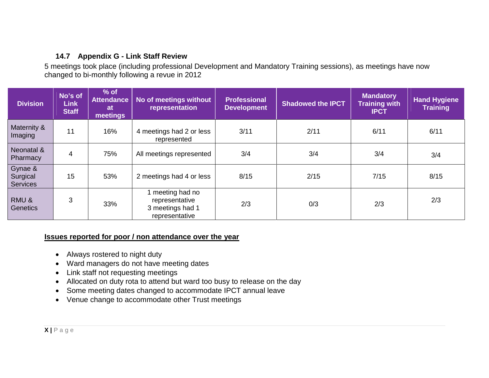## **14.7 Appendix G - Link Staff Review**

5 meetings took place (including professional Development and Mandatory Training sessions), as meetings have now changed to bi-monthly following a revue in 2012

| <b>Division</b>                        | No's of<br><b>Link</b><br><b>Staff</b> | $%$ of<br><b>Attendance</b><br><b>at</b><br>meetings | No of meetings without<br>representation                                 | <b>Professional</b><br><b>Development</b> | <b>Shadowed the IPCT</b> | <b>Mandatory</b><br><b>Training with</b><br><b>IPCT</b> | <b>Hand Hygiene</b><br><b>Training</b> |
|----------------------------------------|----------------------------------------|------------------------------------------------------|--------------------------------------------------------------------------|-------------------------------------------|--------------------------|---------------------------------------------------------|----------------------------------------|
| Maternity &<br>Imaging                 | 11                                     | 16%                                                  | 4 meetings had 2 or less<br>represented                                  | 3/11                                      | 2/11                     | 6/11                                                    | 6/11                                   |
| Neonatal &<br>Pharmacy                 | 4                                      | 75%                                                  | All meetings represented                                                 | 3/4                                       | 3/4                      | 3/4                                                     | 3/4                                    |
| Gynae &<br>Surgical<br><b>Services</b> | 15                                     | 53%                                                  | 2 meetings had 4 or less                                                 | 8/15                                      | 2/15                     | 7/15                                                    | 8/15                                   |
| RMU&<br>Genetics                       | 3                                      | 33%                                                  | 1 meeting had no<br>representative<br>3 meetings had 1<br>representative | 2/3                                       | 0/3                      | 2/3                                                     | 2/3                                    |

#### <span id="page-37-0"></span>**Issues reported for poor / non attendance over the year**

- Always rostered to night duty
- Ward managers do not have meeting dates
- Link staff not requesting meetings
- Allocated on duty rota to attend but ward too busy to release on the day
- Some meeting dates changed to accommodate IPCT annual leave
- Venue change to accommodate other Trust meetings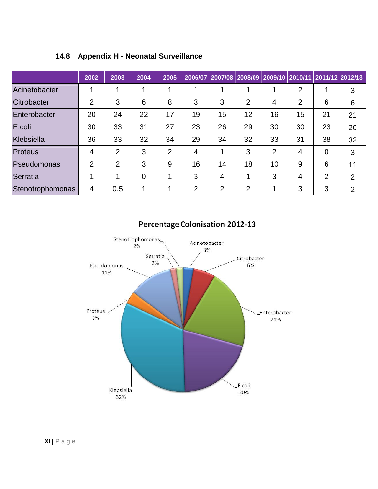|                  | 2002           | 2003           | 2004     | 2005           | 2006/07        |                | 2007/08   2008/09   2009/10   2010/11   2011/12   2012/13 |                |                |                |                |
|------------------|----------------|----------------|----------|----------------|----------------|----------------|-----------------------------------------------------------|----------------|----------------|----------------|----------------|
| Acinetobacter    |                | 4              | 4        | 4              |                | 1              |                                                           |                | $\overline{2}$ |                | 3              |
| Citrobacter      | $\overline{2}$ | 3              | 6        | 8              | 3              | 3              | $\overline{2}$                                            | 4              | 2              | 6              | 6              |
| Enterobacter     | 20             | 24             | 22       | 17             | 19             | 15             | 12                                                        | 16             | 15             | 21             | 21             |
| E.coli           | 30             | 33             | 31       | 27             | 23             | 26             | 29                                                        | 30             | 30             | 23             | 20             |
| Klebsiella       | 36             | 33             | 32       | 34             | 29             | 34             | 32                                                        | 33             | 31             | 38             | 32             |
| Proteus          | $\overline{4}$ | 2              | 3        | $\overline{2}$ | 4              | 1              | 3                                                         | $\overline{2}$ | $\overline{4}$ | $\Omega$       | 3              |
| Pseudomonas      | $\overline{2}$ | $\overline{2}$ | 3        | 9              | 16             | 14             | 18                                                        | 10             | 9              | 6              | 11             |
| Serratia         | 1              | 4              | $\Omega$ | ٠              | 3              | 4              |                                                           | 3              | 4              | $\overline{2}$ | 2              |
| Stenotrophomonas | $\overline{4}$ | 0.5            | 1        |                | $\overline{2}$ | $\overline{2}$ | $\overline{2}$                                            |                | 3              | 3              | $\overline{2}$ |

## <span id="page-38-0"></span>**14.8 Appendix H - Neonatal Surveillance**



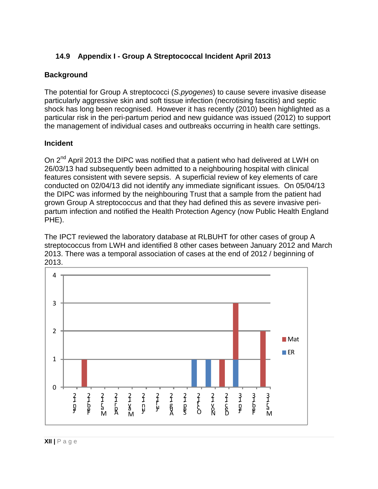#### **14.9 Appendix I - Group A Streptococcal Incident April 2013**

#### <span id="page-39-0"></span>**Background**

The potential for Group A streptococci (*S.pyogenes*) to cause severe invasive disease particularly aggressive skin and soft tissue infection (necrotising fascitis) and septic shock has long been recognised. However it has recently (2010) been highlighted as a particular risk in the peri-partum period and new guidance was issued (2012) to support the management of individual cases and outbreaks occurring in health care settings.

#### **Incident**

On 2<sup>nd</sup> April 2013 the DIPC was notified that a patient who had delivered at LWH on 26/03/13 had subsequently been admitted to a neighbouring hospital with clinical features consistent with severe sepsis. A superficial review of key elements of care conducted on 02/04/13 did not identify any immediate significant issues. On 05/04/13 the DIPC was informed by the neighbouring Trust that a sample from the patient had grown Group A streptococcus and that they had defined this as severe invasive peripartum infection and notified the Health Protection Agency (now Public Health England PHE).

The IPCT reviewed the laboratory database at RLBUHT for other cases of group A streptococcus from LWH and identified 8 other cases between January 2012 and March 2013. There was a temporal association of cases at the end of 2012 / beginning of 2013.

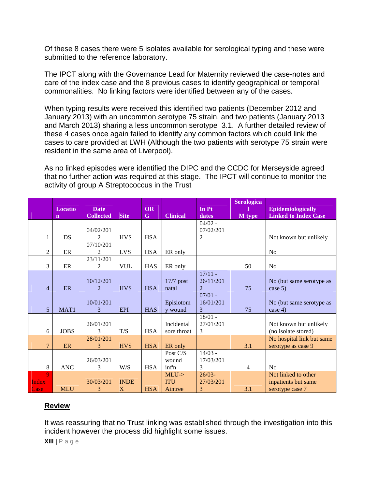Of these 8 cases there were 5 isolates available for serological typing and these were submitted to the reference laboratory.

The IPCT along with the Governance Lead for Maternity reviewed the case-notes and care of the index case and the 8 previous cases to identify geographical or temporal commonalities. No linking factors were identified between any of the cases.

When typing results were received this identified two patients (December 2012 and January 2013) with an uncommon serotype 75 strain, and two patients (January 2013 and March 2013) sharing a less uncommon serotype 3.1. A further detailed review of these 4 cases once again failed to identify any common factors which could link the cases to care provided at LWH (Although the two patients with serotype 75 strain were resident in the same area of Liverpool).

As no linked episodes were identified the DIPC and the CCDC for Merseyside agreed that no further action was required at this stage. The IPCT will continue to monitor the activity of group A Streptococcus in the Trust

|                |                  |                  |             |             |                 |                | <b>Serologica</b> |                             |
|----------------|------------------|------------------|-------------|-------------|-----------------|----------------|-------------------|-----------------------------|
|                | <b>Locatio</b>   | <b>Date</b>      |             | <b>OR</b>   |                 | In Pt          |                   | <b>Epidemiologically</b>    |
|                | $\mathbf n$      | <b>Collected</b> | <b>Site</b> | $\mathbf G$ | <b>Clinical</b> | dates          | M type            | <b>Linked to Index Case</b> |
|                |                  |                  |             |             |                 | $04/02 -$      |                   |                             |
|                |                  | 04/02/201        |             |             |                 | 07/02/201      |                   |                             |
| 1              | DS               | 2                | <b>HVS</b>  | <b>HSA</b>  |                 | 2              |                   | Not known but unlikely      |
|                |                  | 07/10/201        |             |             |                 |                |                   |                             |
| $\overline{2}$ | ER               | $\mathfrak{D}$   | <b>LVS</b>  | <b>HSA</b>  | ER only         |                |                   | N <sub>o</sub>              |
|                |                  | 23/11/201        |             |             |                 |                |                   |                             |
| 3              | ER               | 2                | <b>VUL</b>  | <b>HAS</b>  | ER only         |                | 50                | N <sub>0</sub>              |
|                |                  |                  |             |             |                 | $17/11 -$      |                   |                             |
|                |                  | 10/12/201        |             |             | $17/7$ post     | 26/11/201      |                   | No (but same serotype as    |
| $\overline{4}$ | <b>ER</b>        | 2                | <b>HVS</b>  | <b>HSA</b>  | natal           | $\overline{2}$ | 75                | case $5)$                   |
|                |                  |                  |             |             |                 | $07/01 -$      |                   |                             |
|                |                  | 10/01/201        |             |             | Episiotom       | 16/01/201      |                   | No (but same serotype as    |
| 5              | MAT <sub>1</sub> | 3                | <b>EPI</b>  | <b>HAS</b>  | y wound         | 3              | 75                | case $4)$                   |
|                |                  |                  |             |             |                 | $18/01 -$      |                   |                             |
|                |                  | 26/01/201        |             |             | Incidental      | 27/01/201      |                   | Not known but unlikely      |
| 6              | <b>JOBS</b>      | 3                | T/S         | <b>HSA</b>  | sore throat     | 3              |                   | (no isolate stored)         |
|                |                  | 28/01/201        |             |             |                 |                |                   | No hospital link but same   |
| $\overline{7}$ | <b>ER</b>        | 3                | <b>HVS</b>  | <b>HSA</b>  | ER only         |                | 3.1               | serotype as case 9          |
|                |                  |                  |             |             | Post C/S        | $14/03 -$      |                   |                             |
|                |                  | 26/03/201        |             |             | wound           | 17/03/201      |                   |                             |
| 8              | <b>ANC</b>       | 3                | W/S         | <b>HSA</b>  | inf'n           | 3              | 4                 | No                          |
| $\mathbf{Q}$   |                  |                  |             |             | $MLU$ ->        | $26/03 -$      |                   | Not linked to other         |
| Index          |                  | 30/03/201        | <b>INDE</b> |             | <b>ITU</b>      | 27/03/201      |                   | inpatients but same         |
| Case           | <b>MLU</b>       | 3                | X           | <b>HSA</b>  | Aintree         | 3              | 3.1               | serotype case 7             |

#### **Review**

It was reassuring that no Trust linking was established through the investigation into this incident however the process did highlight some issues.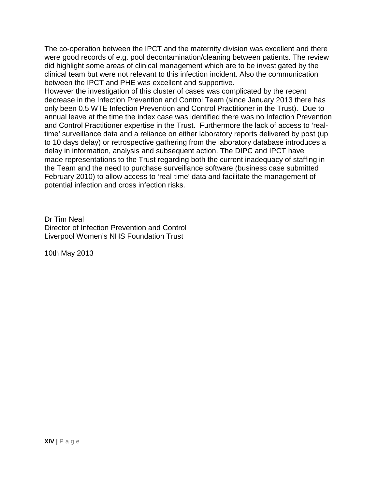The co-operation between the IPCT and the maternity division was excellent and there were good records of e.g. pool decontamination/cleaning between patients. The review did highlight some areas of clinical management which are to be investigated by the clinical team but were not relevant to this infection incident. Also the communication between the IPCT and PHE was excellent and supportive.

However the investigation of this cluster of cases was complicated by the recent decrease in the Infection Prevention and Control Team (since January 2013 there has only been 0.5 WTE Infection Prevention and Control Practitioner in the Trust). Due to annual leave at the time the index case was identified there was no Infection Prevention and Control Practitioner expertise in the Trust. Furthermore the lack of access to 'realtime' surveillance data and a reliance on either laboratory reports delivered by post (up to 10 days delay) or retrospective gathering from the laboratory database introduces a delay in information, analysis and subsequent action. The DIPC and IPCT have made representations to the Trust regarding both the current inadequacy of staffing in the Team and the need to purchase surveillance software (business case submitted February 2010) to allow access to 'real-time' data and facilitate the management of potential infection and cross infection risks.

Dr Tim Neal Director of Infection Prevention and Control Liverpool Women's NHS Foundation Trust

10th May 2013